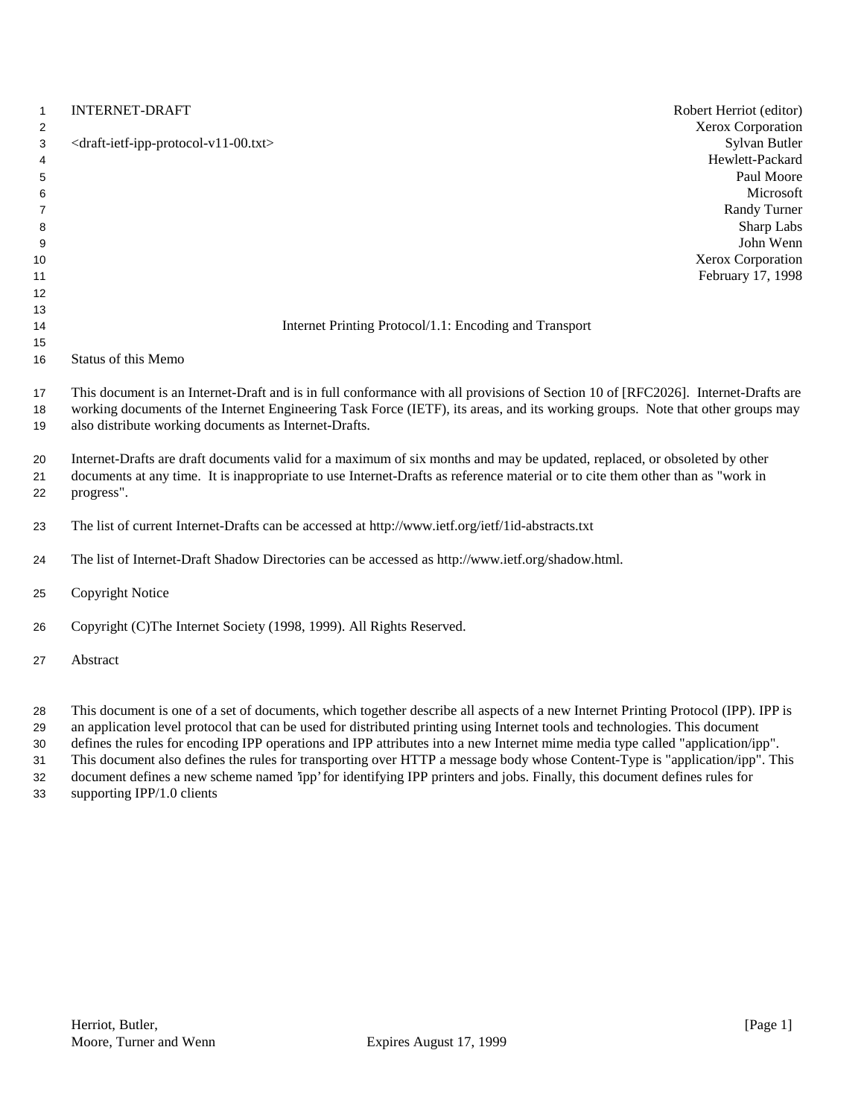| $\mathbf{1}$<br>2                                  | <b>INTERNET-DRAFT</b>                                                                                                                                                                                                                                                                                                        | Robert Herriot (editor)<br>Xerox Corporation                                                                                |
|----------------------------------------------------|------------------------------------------------------------------------------------------------------------------------------------------------------------------------------------------------------------------------------------------------------------------------------------------------------------------------------|-----------------------------------------------------------------------------------------------------------------------------|
| 3<br>4<br>5<br>6<br>$\overline{7}$<br>8<br>9<br>10 | <draft-ietf-ipp-protocol-v11-00.txt></draft-ietf-ipp-protocol-v11-00.txt>                                                                                                                                                                                                                                                    | Sylvan Butler<br>Hewlett-Packard<br>Paul Moore<br>Microsoft<br>Randy Turner<br>Sharp Labs<br>John Wenn<br>Xerox Corporation |
| 11                                                 |                                                                                                                                                                                                                                                                                                                              | February 17, 1998                                                                                                           |
| 12<br>13                                           |                                                                                                                                                                                                                                                                                                                              |                                                                                                                             |
| 14                                                 | Internet Printing Protocol/1.1: Encoding and Transport                                                                                                                                                                                                                                                                       |                                                                                                                             |
| 15                                                 |                                                                                                                                                                                                                                                                                                                              |                                                                                                                             |
| 16                                                 | <b>Status of this Memo</b>                                                                                                                                                                                                                                                                                                   |                                                                                                                             |
| 17<br>18<br>19                                     | This document is an Internet-Draft and is in full conformance with all provisions of Section 10 of [RFC2026]. Internet-Drafts are<br>working documents of the Internet Engineering Task Force (IETF), its areas, and its working groups. Note that other groups may<br>also distribute working documents as Internet-Drafts. |                                                                                                                             |
| 20<br>21<br>22                                     | Internet-Drafts are draft documents valid for a maximum of six months and may be updated, replaced, or obsoleted by other<br>documents at any time. It is inappropriate to use Internet-Drafts as reference material or to cite them other than as "work in<br>progress".                                                    |                                                                                                                             |
| 23                                                 | The list of current Internet-Drafts can be accessed at http://www.ietf.org/ietf/1id-abstracts.txt                                                                                                                                                                                                                            |                                                                                                                             |
| 24                                                 | The list of Internet-Draft Shadow Directories can be accessed as http://www.ietf.org/shadow.html.                                                                                                                                                                                                                            |                                                                                                                             |
| 25                                                 | Copyright Notice                                                                                                                                                                                                                                                                                                             |                                                                                                                             |
| 26                                                 | Copyright (C)The Internet Society (1998, 1999). All Rights Reserved.                                                                                                                                                                                                                                                         |                                                                                                                             |
| 27                                                 | Abstract                                                                                                                                                                                                                                                                                                                     |                                                                                                                             |
| nn.                                                | This decument is one of a set of decuments, which together describe all separts of a new Internet Drinting Drotogel (IDD). IDD is                                                                                                                                                                                            |                                                                                                                             |

 This document is one of a set of documents, which together describe all aspects of a new Internet Printing Protocol (IPP). IPP is an application level protocol that can be used for distributed printing using Internet tools and technologies. This document defines the rules for encoding IPP operations and IPP attributes into a new Internet mime media type called "application/ipp".

 This document also defines the rules for transporting over HTTP a message body whose Content-Type is "application/ipp". This document defines a new scheme named 'ipp' for identifying IPP printers and jobs. Finally, this document defines rules for

supporting IPP/1.0 clients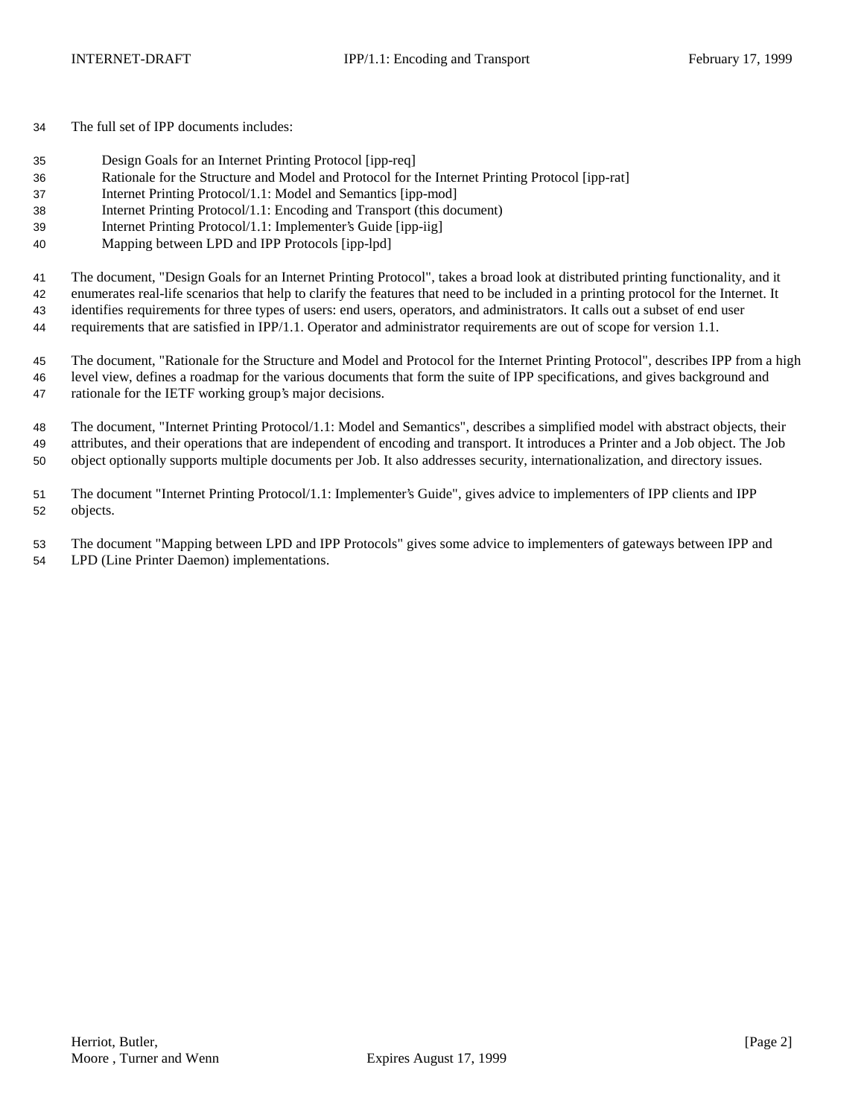The full set of IPP documents includes:

- Design Goals for an Internet Printing Protocol [ipp-req]
- Rationale for the Structure and Model and Protocol for the Internet Printing Protocol [ipp-rat]
- Internet Printing Protocol/1.1: Model and Semantics [ipp-mod]
- Internet Printing Protocol/1.1: Encoding and Transport (this document)
- Internet Printing Protocol/1.1: Implementer's Guide [ipp-iig]
- Mapping between LPD and IPP Protocols [ipp-lpd]

The document, "Design Goals for an Internet Printing Protocol", takes a broad look at distributed printing functionality, and it

enumerates real-life scenarios that help to clarify the features that need to be included in a printing protocol for the Internet. It

identifies requirements for three types of users: end users, operators, and administrators. It calls out a subset of end user

requirements that are satisfied in IPP/1.1. Operator and administrator requirements are out of scope for version 1.1.

 The document, "Rationale for the Structure and Model and Protocol for the Internet Printing Protocol", describes IPP from a high level view, defines a roadmap for the various documents that form the suite of IPP specifications, and gives background and rationale for the IETF working group's major decisions.

 The document, "Internet Printing Protocol/1.1: Model and Semantics", describes a simplified model with abstract objects, their attributes, and their operations that are independent of encoding and transport. It introduces a Printer and a Job object. The Job object optionally supports multiple documents per Job. It also addresses security, internationalization, and directory issues.

 The document "Internet Printing Protocol/1.1: Implementer's Guide", gives advice to implementers of IPP clients and IPP objects.

 The document "Mapping between LPD and IPP Protocols" gives some advice to implementers of gateways between IPP and LPD (Line Printer Daemon) implementations.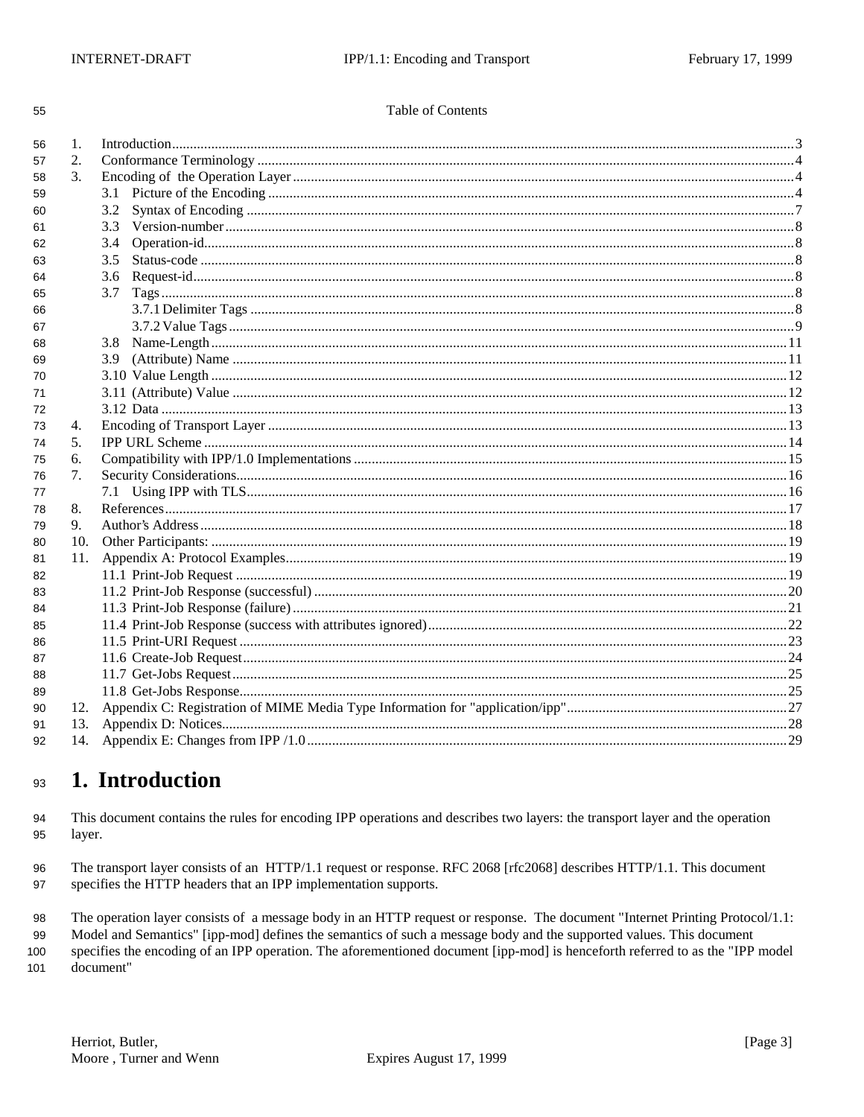| ۹            | ۹       |
|--------------|---------|
|              | I       |
| I<br>×<br>۰. | I<br>۰. |

### Table of Contents

| 2.<br>57<br>$\mathcal{E}$<br>58<br>3.1<br>59<br>3.2<br>60<br>3.3<br>61<br>3.4<br>62<br>3.5<br>63<br>3.6<br>64<br>3.7<br>65<br>66<br>67<br>3.8<br>68<br>3.9<br>69<br>70<br>71<br>72<br>4.<br>73<br>5.<br>74<br>6.<br>75<br>7.<br>76<br>7.1<br>77<br>8.<br>78<br>9.<br>79<br>10.<br>80<br>11.<br>81<br>82<br>83<br>84<br>85<br>86<br>87<br>88<br>89<br>12.<br>90<br>13.<br>91 | 56 | 1. |  |
|-----------------------------------------------------------------------------------------------------------------------------------------------------------------------------------------------------------------------------------------------------------------------------------------------------------------------------------------------------------------------------|----|----|--|
|                                                                                                                                                                                                                                                                                                                                                                             |    |    |  |
|                                                                                                                                                                                                                                                                                                                                                                             |    |    |  |
|                                                                                                                                                                                                                                                                                                                                                                             |    |    |  |
|                                                                                                                                                                                                                                                                                                                                                                             |    |    |  |
|                                                                                                                                                                                                                                                                                                                                                                             |    |    |  |
|                                                                                                                                                                                                                                                                                                                                                                             |    |    |  |
|                                                                                                                                                                                                                                                                                                                                                                             |    |    |  |
|                                                                                                                                                                                                                                                                                                                                                                             |    |    |  |
|                                                                                                                                                                                                                                                                                                                                                                             |    |    |  |
|                                                                                                                                                                                                                                                                                                                                                                             |    |    |  |
|                                                                                                                                                                                                                                                                                                                                                                             |    |    |  |
|                                                                                                                                                                                                                                                                                                                                                                             |    |    |  |
|                                                                                                                                                                                                                                                                                                                                                                             |    |    |  |
|                                                                                                                                                                                                                                                                                                                                                                             |    |    |  |
|                                                                                                                                                                                                                                                                                                                                                                             |    |    |  |
|                                                                                                                                                                                                                                                                                                                                                                             |    |    |  |
|                                                                                                                                                                                                                                                                                                                                                                             |    |    |  |
|                                                                                                                                                                                                                                                                                                                                                                             |    |    |  |
|                                                                                                                                                                                                                                                                                                                                                                             |    |    |  |
|                                                                                                                                                                                                                                                                                                                                                                             |    |    |  |
|                                                                                                                                                                                                                                                                                                                                                                             |    |    |  |
|                                                                                                                                                                                                                                                                                                                                                                             |    |    |  |
|                                                                                                                                                                                                                                                                                                                                                                             |    |    |  |
|                                                                                                                                                                                                                                                                                                                                                                             |    |    |  |
|                                                                                                                                                                                                                                                                                                                                                                             |    |    |  |
|                                                                                                                                                                                                                                                                                                                                                                             |    |    |  |
|                                                                                                                                                                                                                                                                                                                                                                             |    |    |  |
|                                                                                                                                                                                                                                                                                                                                                                             |    |    |  |
|                                                                                                                                                                                                                                                                                                                                                                             |    |    |  |
|                                                                                                                                                                                                                                                                                                                                                                             |    |    |  |
|                                                                                                                                                                                                                                                                                                                                                                             |    |    |  |
|                                                                                                                                                                                                                                                                                                                                                                             |    |    |  |
|                                                                                                                                                                                                                                                                                                                                                                             |    |    |  |
|                                                                                                                                                                                                                                                                                                                                                                             |    |    |  |
|                                                                                                                                                                                                                                                                                                                                                                             |    |    |  |
|                                                                                                                                                                                                                                                                                                                                                                             | 92 |    |  |

#### 1. Introduction 93

This document contains the rules for encoding IPP operations and describes two layers: the transport layer and the operation 94 95 layer.

The transport layer consists of an HTTP/1.1 request or response. RFC 2068 [rfc2068] describes HTTP/1.1. This document 96 specifies the HTTP headers that an IPP implementation supports. 97

The operation layer consists of a message body in an HTTP request or response. The document "Internet Printing Protocol/1.1: 98

Model and Semantics" [ipp-mod] defines the semantics of such a message body and the supported values. This document 99

100 specifies the encoding of an IPP operation. The aforementioned document [ipp-mod] is henceforth referred to as the "IPP model 101 document"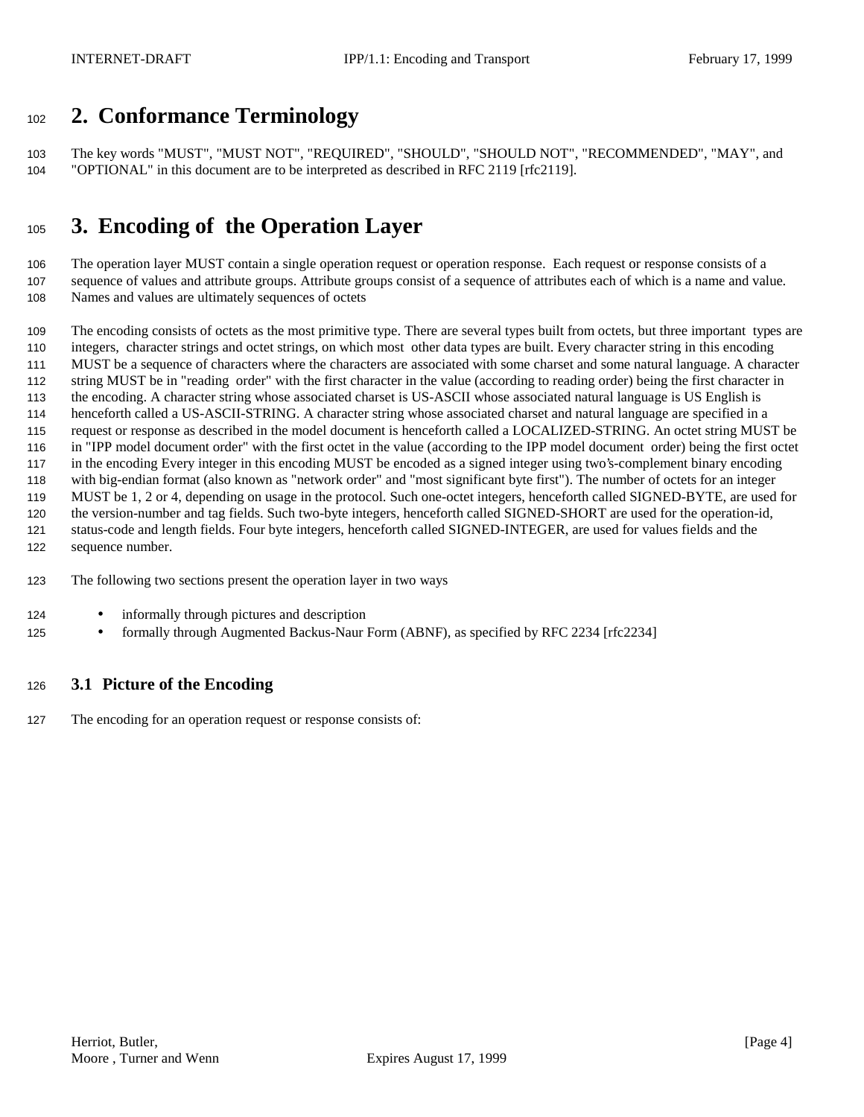# **2. Conformance Terminology**

 The key words "MUST", "MUST NOT", "REQUIRED", "SHOULD", "SHOULD NOT", "RECOMMENDED", "MAY", and "OPTIONAL" in this document are to be interpreted as described in RFC 2119 [rfc2119].

# **3. Encoding of the Operation Layer**

 The operation layer MUST contain a single operation request or operation response. Each request or response consists of a sequence of values and attribute groups. Attribute groups consist of a sequence of attributes each of which is a name and value. Names and values are ultimately sequences of octets

 The encoding consists of octets as the most primitive type. There are several types built from octets, but three important types are integers, character strings and octet strings, on which most other data types are built. Every character string in this encoding MUST be a sequence of characters where the characters are associated with some charset and some natural language. A character string MUST be in "reading order" with the first character in the value (according to reading order) being the first character in the encoding. A character string whose associated charset is US-ASCII whose associated natural language is US English is henceforth called a US-ASCII-STRING. A character string whose associated charset and natural language are specified in a request or response as described in the model document is henceforth called a LOCALIZED-STRING. An octet string MUST be in "IPP model document order" with the first octet in the value (according to the IPP model document order) being the first octet in the encoding Every integer in this encoding MUST be encoded as a signed integer using two's-complement binary encoding with big-endian format (also known as "network order" and "most significant byte first"). The number of octets for an integer MUST be 1, 2 or 4, depending on usage in the protocol. Such one-octet integers, henceforth called SIGNED-BYTE, are used for the version-number and tag fields. Such two-byte integers, henceforth called SIGNED-SHORT are used for the operation-id, status-code and length fields. Four byte integers, henceforth called SIGNED-INTEGER, are used for values fields and the sequence number.

- The following two sections present the operation layer in two ways
- 124 informally through pictures and description
- 125 formally through Augmented Backus-Naur Form (ABNF), as specified by RFC 2234 [rfc2234]

## **3.1 Picture of the Encoding**

The encoding for an operation request or response consists of: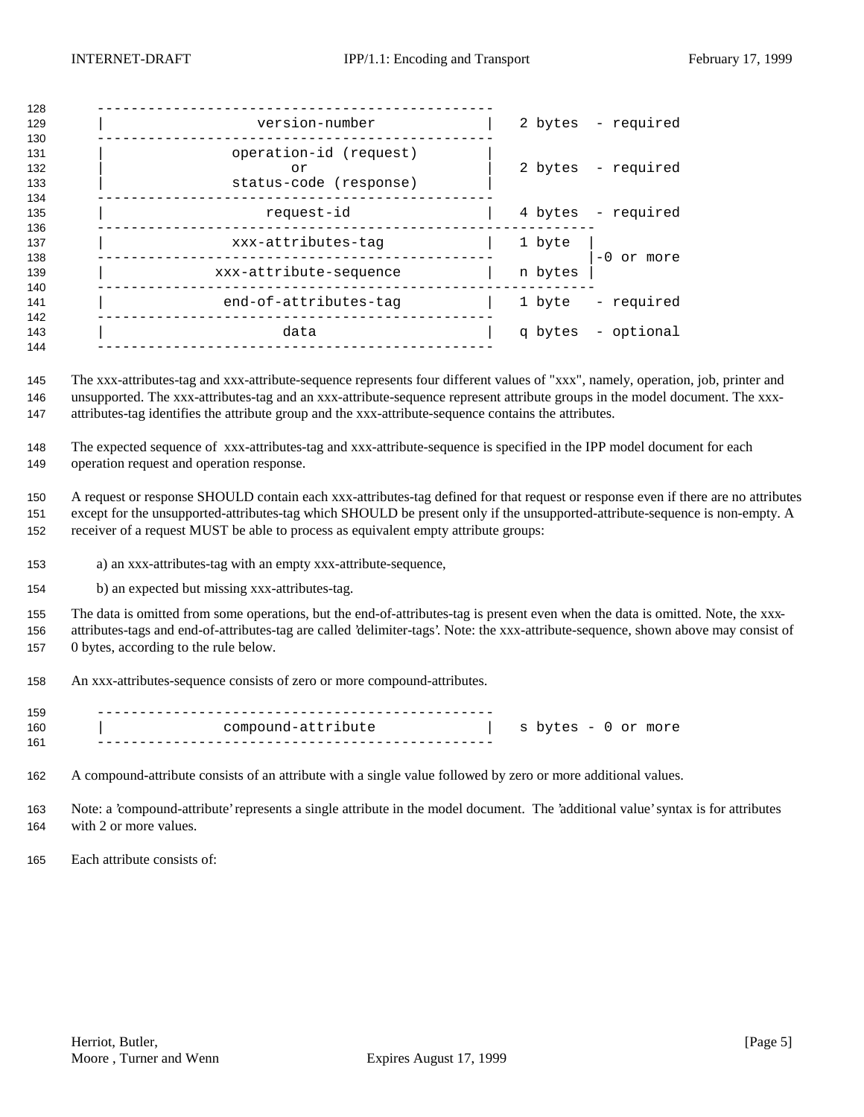| 128                      |                                                        |         |                    |
|--------------------------|--------------------------------------------------------|---------|--------------------|
| 129<br>130               | version-number                                         |         | 2 bytes - required |
| 131<br>132<br>133<br>134 | operation-id (request)<br>or<br>status-code (response) |         | 2 bytes - required |
| 135<br>136               | request-id                                             |         | 4 bytes - required |
| 137<br>138               | xxx-attributes-tag                                     | 1 byte  | $-0$ or more       |
| 139<br>140               | xxx-attribute-sequence                                 | n bytes |                    |
| 141<br>142               | end-of-attributes-tag                                  | 1 byte  | - required         |
| 143<br>144               | data                                                   |         | q bytes - optional |
|                          |                                                        |         |                    |

 The xxx-attributes-tag and xxx-attribute-sequence represents four different values of "xxx", namely, operation, job, printer and unsupported. The xxx-attributes-tag and an xxx-attribute-sequence represent attribute groups in the model document. The xxx-attributes-tag identifies the attribute group and the xxx-attribute-sequence contains the attributes.

 The expected sequence of xxx-attributes-tag and xxx-attribute-sequence is specified in the IPP model document for each operation request and operation response.

 A request or response SHOULD contain each xxx-attributes-tag defined for that request or response even if there are no attributes except for the unsupported-attributes-tag which SHOULD be present only if the unsupported-attribute-sequence is non-empty. A receiver of a request MUST be able to process as equivalent empty attribute groups:

- a) an xxx-attributes-tag with an empty xxx-attribute-sequence,
- b) an expected but missing xxx-attributes-tag.

 The data is omitted from some operations, but the end-of-attributes-tag is present even when the data is omitted. Note, the xxx- attributes-tags and end-of-attributes-tag are called 'delimiter-tags'. Note: the xxx-attribute-sequence, shown above may consist of 0 bytes, according to the rule below.

An xxx-attributes-sequence consists of zero or more compound-attributes.

| 159 |                    |                     |
|-----|--------------------|---------------------|
| 160 | compound-attribute | s bytes - 0 or more |
| 161 |                    |                     |

A compound-attribute consists of an attribute with a single value followed by zero or more additional values.

 Note: a 'compound-attribute' represents a single attribute in the model document. The 'additional value' syntax is for attributes with 2 or more values.

Each attribute consists of: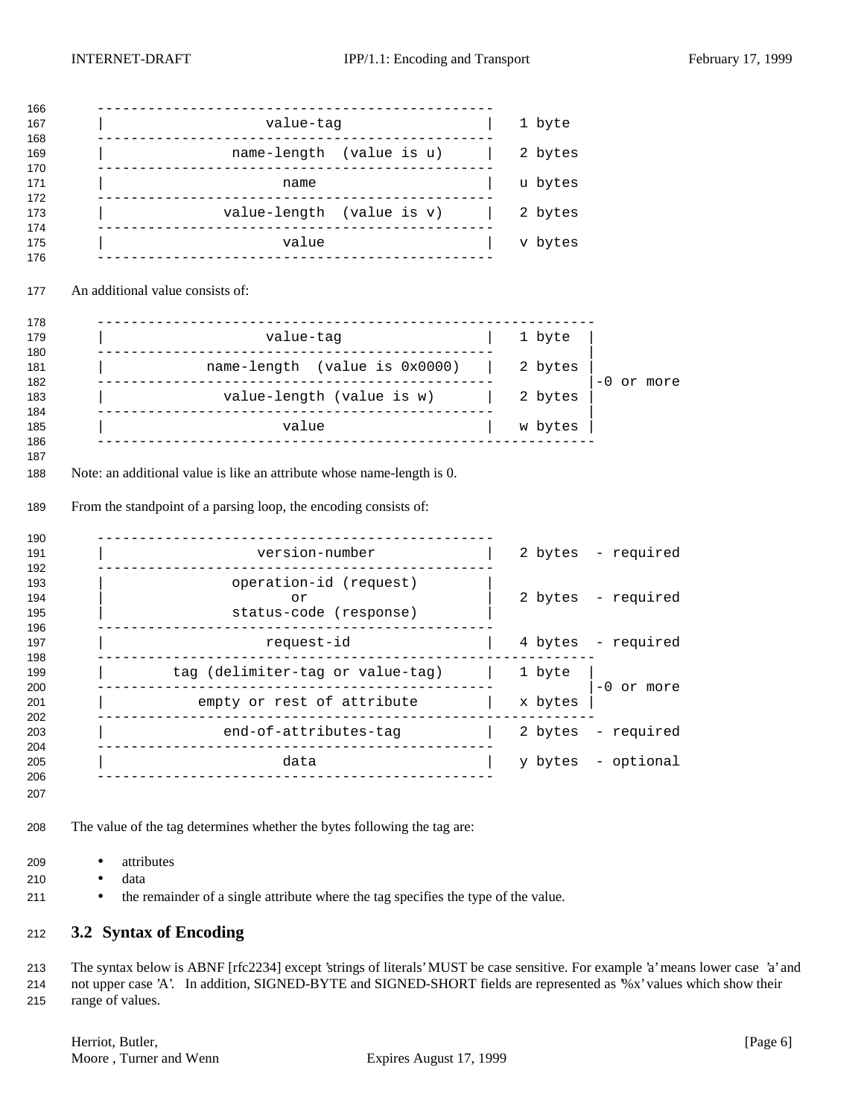| value-tag                                                                                                                                          |                           | 1 byte  |                    |
|----------------------------------------------------------------------------------------------------------------------------------------------------|---------------------------|---------|--------------------|
| name-length (value is u)                                                                                                                           |                           | 2 bytes |                    |
| _______________________________<br>name                                                                                                            |                           | u bytes |                    |
| value-length (value is v)                                                                                                                          |                           | 2 bytes |                    |
| ___________________________________<br>value                                                                                                       |                           | v bytes |                    |
| An additional value consists of:                                                                                                                   |                           |         |                    |
| ---------------------------------                                                                                                                  |                           |         |                    |
| value-tag                                                                                                                                          |                           | 1 byte  |                    |
| name-length (value is 0x0000)                                                                                                                      |                           | 2 bytes | $-0$ or more       |
|                                                                                                                                                    | value-length (value is w) | 2 bytes |                    |
|                                                                                                                                                    |                           |         |                    |
| value                                                                                                                                              |                           | w bytes |                    |
|                                                                                                                                                    |                           |         |                    |
| version-number                                                                                                                                     |                           |         | 2 bytes - required |
| operation-id (request)<br>or<br>status-code (response)                                                                                             |                           |         | 2 bytes - required |
| request-id                                                                                                                                         |                           |         | 4 bytes - required |
| tag (delimiter-tag or value-tag)                                                                                                                   |                           | 1 byte  |                    |
| empty or rest of attribute                                                                                                                         |                           | x bytes | $-0$ or more       |
| <u>_____________</u><br>end-of-attributes-tag                                                                                                      |                           | 2 bytes | required           |
| Note: an additional value is like an attribute whose name-length is 0.<br>From the standpoint of a parsing loop, the encoding consists of:<br>data |                           | y bytes | - optional         |

- attributes
- data
- 211 the remainder of a single attribute where the tag specifies the type of the value.

## **3.2 Syntax of Encoding**

 The syntax below is ABNF [rfc2234] except 'strings of literals' MUST be case sensitive. For example 'a' means lower case 'a' and not upper case 'A'. In addition, SIGNED-BYTE and SIGNED-SHORT fields are represented as '%x' values which show their range of values.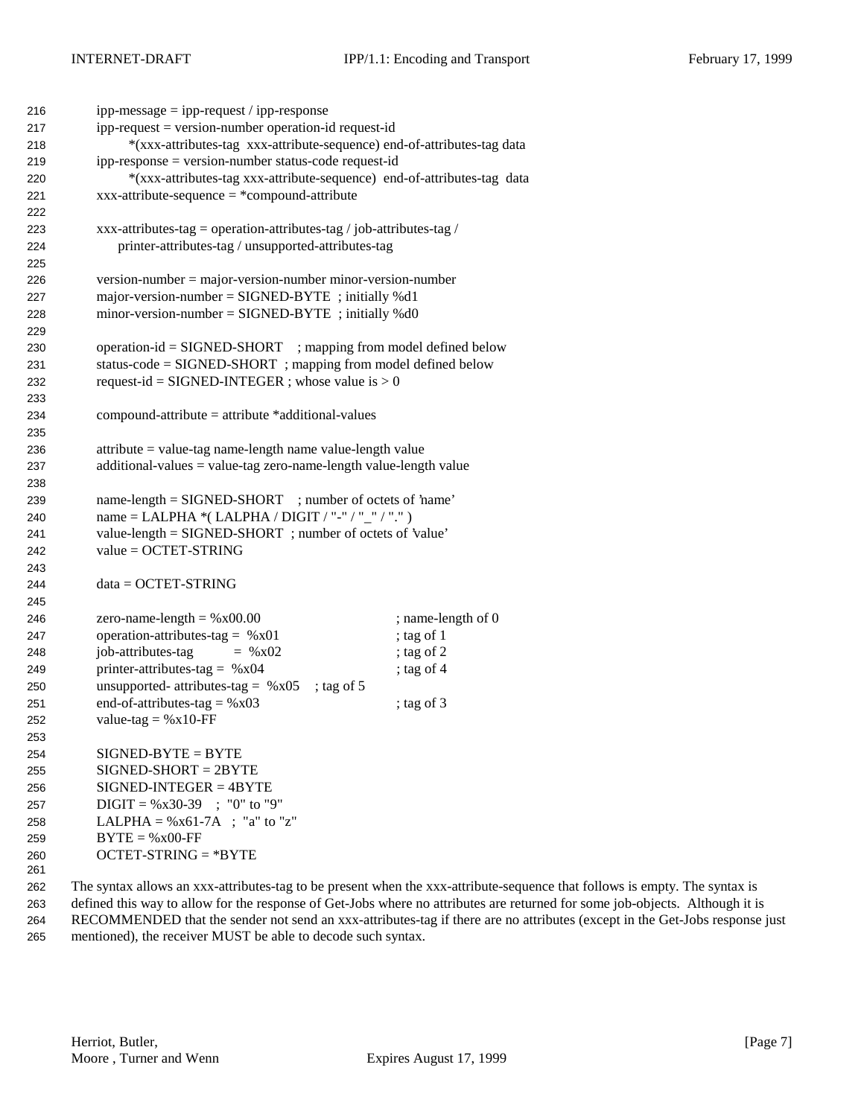| 216 | $ipp-message = ipp-request / ipp-response$                                          |                    |
|-----|-------------------------------------------------------------------------------------|--------------------|
| 217 | ipp-request = version-number operation-id request-id                                |                    |
| 218 | *(xxx-attributes-tag xxx-attribute-sequence) end-of-attributes-tag data             |                    |
| 219 | ipp-response = version-number status-code request-id                                |                    |
| 220 | *(xxx-attributes-tag xxx-attribute-sequence) end-of-attributes-tag data             |                    |
| 221 | $xxx$ -attribute-sequence = *compound-attribute                                     |                    |
| 222 |                                                                                     |                    |
| 223 | xxx-attributes-tag = operation-attributes-tag / job-attributes-tag /                |                    |
| 224 | printer-attributes-tag / unsupported-attributes-tag                                 |                    |
| 225 |                                                                                     |                    |
| 226 | $version-number = majorversion-number minor-version-number$                         |                    |
| 227 | major-version-number = $SIGNED-BYTE$ ; initially %d1                                |                    |
| 228 | $minor-version-number = SIGNED-BYTE$ ; initially %d0                                |                    |
| 229 |                                                                                     |                    |
| 230 | operation-id = SIGNED-SHORT ; mapping from model defined below                      |                    |
| 231 | status-code = SIGNED-SHORT ; mapping from model defined below                       |                    |
| 232 | request-id = SIGNED-INTEGER ; whose value is $> 0$                                  |                    |
| 233 |                                                                                     |                    |
| 234 | $compound-attribute = attribute * additional-values$                                |                    |
| 235 |                                                                                     |                    |
| 236 | attribute = value-tag name-length name value-length value                           |                    |
| 237 | $additional-values = value-tag zero-name-length value-length value$                 |                    |
| 238 |                                                                                     |                    |
| 239 | name-length = SIGNED-SHORT ; number of octets of 'name'                             |                    |
| 240 | name = LALPHA *(LALPHA / DIGIT / "-" / "_" / ".")                                   |                    |
| 241 | value-length = SIGNED-SHORT ; number of octets of 'value'                           |                    |
| 242 | $value = OCTET-STRING$                                                              |                    |
| 243 |                                                                                     |                    |
| 244 | $data = OCTET-STRING$                                                               |                    |
| 245 |                                                                                     |                    |
| 246 | zero-name-length = $%x00.00$                                                        | ; name-length of 0 |
| 247 | operation-attributes-tag = $%x01$                                                   | ; tag of 1         |
| 248 | job-attributes-tag<br>$=$ % x02                                                     | ; tag of 2         |
| 249 | printer-attributes-tag = $%x04$                                                     | ; tag of $4$       |
| 250 | unsupported- attributes-tag = $%x05$<br>; tag of $5$                                |                    |
| 251 | end-of-attributes-tag = $%x03$                                                      | ; tag of $3$       |
| 252 | value-tag = $%x10$ -FF                                                              |                    |
| 253 |                                                                                     |                    |
| 254 | $SIGNED-BYTE = BYTE$                                                                |                    |
| 255 | $SIGNED-SHORT = 2BYTE$                                                              |                    |
| 256 | $SIGNED-INTER = 4BYTE$                                                              |                    |
| 257 | $DIGIT = \%x30-39$ ; "0" to "9"                                                     |                    |
| 258 | LALPHA = $\%x61-7A$ ; "a" to "z"                                                    |                    |
| 259 | $BYTE = %x00-FF$                                                                    |                    |
| 260 | $OCTET-STRING = *BYTE$                                                              |                    |
| 261 |                                                                                     |                    |
| 262 | The syntax allows an xxx-attributes-tag to be present when the xxx-attribute-sequer |                    |

 The syntax allows an xxx-attributes-tag to be present when the xxx-attribute-sequence that follows is empty. The syntax is defined this way to allow for the response of Get-Jobs where no attributes are returned for some job-objects. Although it is RECOMMENDED that the sender not send an xxx-attributes-tag if there are no attributes (except in the Get-Jobs response just mentioned), the receiver MUST be able to decode such syntax.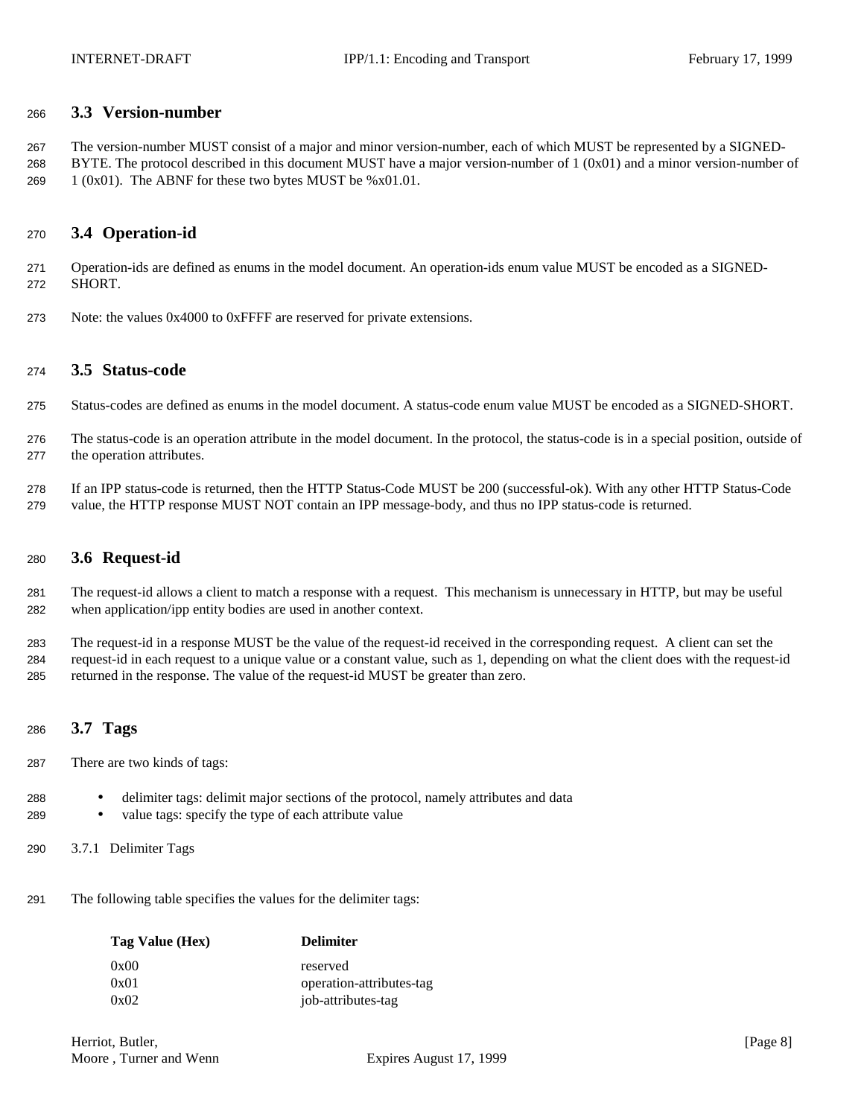### **3.3 Version-number**

 The version-number MUST consist of a major and minor version-number, each of which MUST be represented by a SIGNED-268 BYTE. The protocol described in this document MUST have a major version-number of  $1 (0x01)$  and a minor version-number of 269  $1 (0x01)$ . The ABNF for these two bytes MUST be %x01.01.

## **3.4 Operation-id**

 Operation-ids are defined as enums in the model document. An operation-ids enum value MUST be encoded as a SIGNED-SHORT.

Note: the values 0x4000 to 0xFFFF are reserved for private extensions.

#### **3.5 Status-code**

- Status-codes are defined as enums in the model document. A status-code enum value MUST be encoded as a SIGNED-SHORT.
- The status-code is an operation attribute in the model document. In the protocol, the status-code is in a special position, outside of the operation attributes.
- If an IPP status-code is returned, then the HTTP Status-Code MUST be 200 (successful-ok). With any other HTTP Status-Code value, the HTTP response MUST NOT contain an IPP message-body, and thus no IPP status-code is returned.

### **3.6 Request-id**

 The request-id allows a client to match a response with a request. This mechanism is unnecessary in HTTP, but may be useful when application/ipp entity bodies are used in another context.

 The request-id in a response MUST be the value of the request-id received in the corresponding request. A client can set the request-id in each request to a unique value or a constant value, such as 1, depending on what the client does with the request-id returned in the response. The value of the request-id MUST be greater than zero.

## **3.7 Tags**

- There are two kinds of tags:
- delimiter tags: delimit major sections of the protocol, namely attributes and data
- value tags: specify the type of each attribute value
- 3.7.1 Delimiter Tags
- The following table specifies the values for the delimiter tags:

| Tag Value (Hex) | <b>Delimiter</b>         |
|-----------------|--------------------------|
| 0x00            | reserved                 |
| 0x01            | operation-attributes-tag |
| 0x02            | job-attributes-tag       |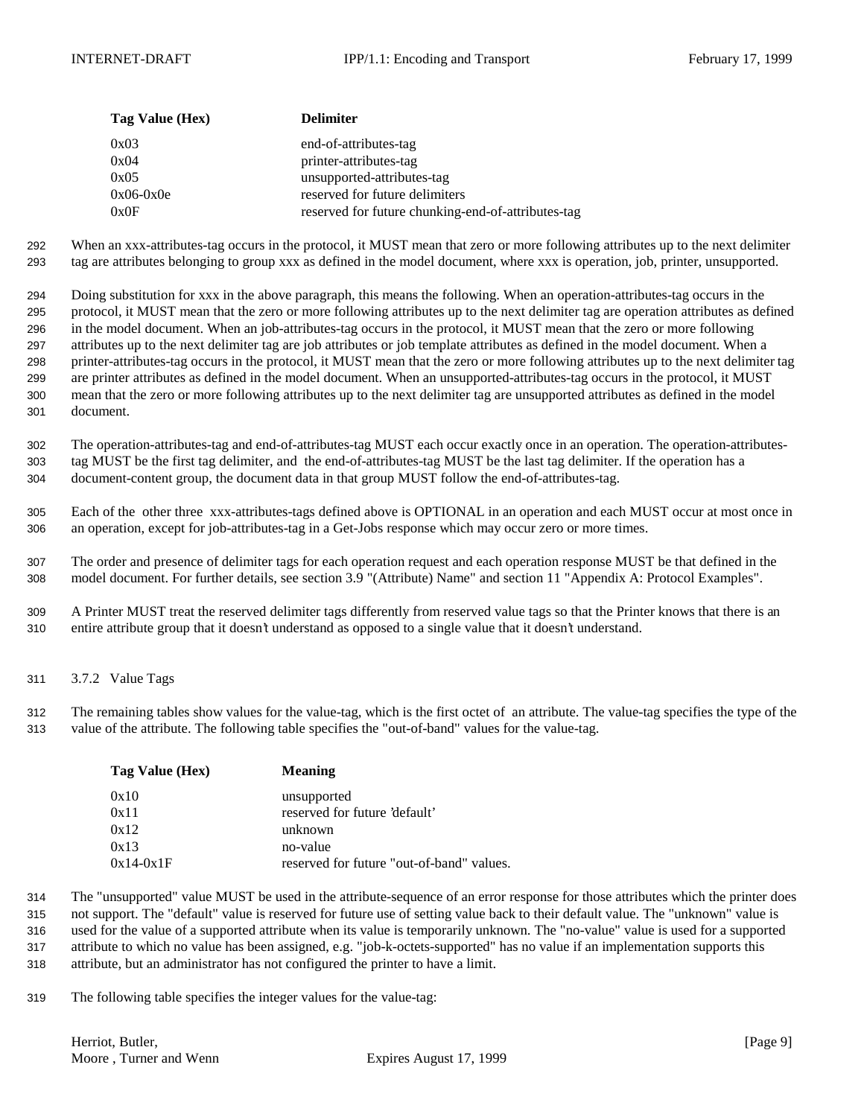| Tag Value (Hex) | <b>Delimiter</b>                                   |
|-----------------|----------------------------------------------------|
| 0x03            | end-of-attributes-tag                              |
| 0x04            | printer-attributes-tag                             |
| 0x05            | unsupported-attributes-tag                         |
| $0x06-0x0e$     | reserved for future delimiters                     |
| 0x0F            | reserved for future chunking-end-of-attributes-tag |

 When an xxx-attributes-tag occurs in the protocol, it MUST mean that zero or more following attributes up to the next delimiter tag are attributes belonging to group xxx as defined in the model document, where xxx is operation, job, printer, unsupported.

 Doing substitution for xxx in the above paragraph, this means the following. When an operation-attributes-tag occurs in the protocol, it MUST mean that the zero or more following attributes up to the next delimiter tag are operation attributes as defined in the model document. When an job-attributes-tag occurs in the protocol, it MUST mean that the zero or more following attributes up to the next delimiter tag are job attributes or job template attributes as defined in the model document. When a printer-attributes-tag occurs in the protocol, it MUST mean that the zero or more following attributes up to the next delimiter tag are printer attributes as defined in the model document. When an unsupported-attributes-tag occurs in the protocol, it MUST mean that the zero or more following attributes up to the next delimiter tag are unsupported attributes as defined in the model document.

 The operation-attributes-tag and end-of-attributes-tag MUST each occur exactly once in an operation. The operation-attributes- tag MUST be the first tag delimiter, and the end-of-attributes-tag MUST be the last tag delimiter. If the operation has a document-content group, the document data in that group MUST follow the end-of-attributes-tag.

 Each of the other three xxx-attributes-tags defined above is OPTIONAL in an operation and each MUST occur at most once in an operation, except for job-attributes-tag in a Get-Jobs response which may occur zero or more times.

 The order and presence of delimiter tags for each operation request and each operation response MUST be that defined in the model document. For further details, see section 3.9 "(Attribute) Name" and section 11 "Appendix A: Protocol Examples".

 A Printer MUST treat the reserved delimiter tags differently from reserved value tags so that the Printer knows that there is an entire attribute group that it doesn't understand as opposed to a single value that it doesn't understand.

3.7.2 Value Tags

 The remaining tables show values for the value-tag, which is the first octet of an attribute. The value-tag specifies the type of the value of the attribute. The following table specifies the "out-of-band" values for the value-tag.

| Tag Value (Hex) | <b>Meaning</b>                            |
|-----------------|-------------------------------------------|
| 0x10            | unsupported                               |
| 0x11            | reserved for future 'default'             |
| 0x12            | unknown                                   |
| 0x13            | no-value                                  |
| $0x14-0x1F$     | reserved for future "out-of-band" values. |

 The "unsupported" value MUST be used in the attribute-sequence of an error response for those attributes which the printer does not support. The "default" value is reserved for future use of setting value back to their default value. The "unknown" value is used for the value of a supported attribute when its value is temporarily unknown. The "no-value" value is used for a supported attribute to which no value has been assigned, e.g. "job-k-octets-supported" has no value if an implementation supports this

attribute, but an administrator has not configured the printer to have a limit.

The following table specifies the integer values for the value-tag: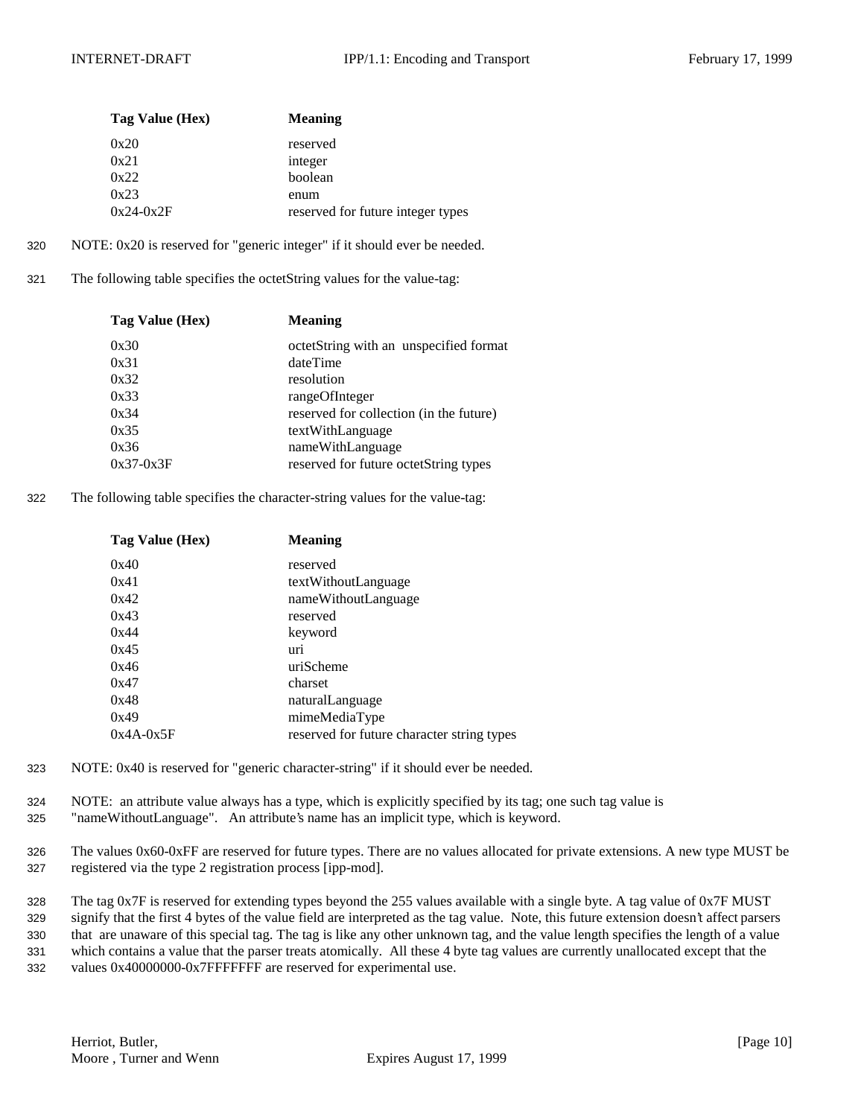| Tag Value (Hex) | <b>Meaning</b>                    |
|-----------------|-----------------------------------|
| 0x20            | reserved                          |
| 0x21            | integer                           |
| 0x22            | boolean                           |
| 0x23            | enum                              |
| $0x24-0x2F$     | reserved for future integer types |

- 320 NOTE: 0x20 is reserved for "generic integer" if it should ever be needed.
- 321 The following table specifies the octetString values for the value-tag:

| Tag Value (Hex) | <b>Meaning</b>                          |
|-----------------|-----------------------------------------|
| 0x30            | octetString with an unspecified format  |
| 0x31            | dateTime                                |
| 0x32            | resolution                              |
| 0x33            | rangeOfInteger                          |
| 0x34            | reserved for collection (in the future) |
| 0x35            | textWithLanguage                        |
| 0x36            | nameWithLanguage                        |
| $0x37-0x3F$     | reserved for future octetString types   |

322 The following table specifies the character-string values for the value-tag:

| Tag Value (Hex) | <b>Meaning</b>                             |
|-----------------|--------------------------------------------|
| 0x40            | reserved                                   |
| 0x41            | textWithoutLanguage                        |
| 0x42            | nameWithoutLanguage                        |
| 0x43            | reserved                                   |
| 0x44            | keyword                                    |
| 0x45            | uri                                        |
| 0x46            | uriScheme                                  |
| 0x47            | charset                                    |
| 0x48            | naturalLanguage                            |
| 0x49            | mimeMediaType                              |
| $0x4A-0x5F$     | reserved for future character string types |

- 323 NOTE: 0x40 is reserved for "generic character-string" if it should ever be needed.
- 324 NOTE: an attribute value always has a type, which is explicitly specified by its tag; one such tag value is 325 "nameWithoutLanguage". An attribute's name has an implicit type, which is keyword.
- 326 The values 0x60-0xFF are reserved for future types. There are no values allocated for private extensions. A new type MUST be 327 registered via the type 2 registration process [ipp-mod].

 The tag 0x7F is reserved for extending types beyond the 255 values available with a single byte. A tag value of 0x7F MUST signify that the first 4 bytes of the value field are interpreted as the tag value. Note, this future extension doesn't affect parsers that are unaware of this special tag. The tag is like any other unknown tag, and the value length specifies the length of a value which contains a value that the parser treats atomically. All these 4 byte tag values are currently unallocated except that the values 0x40000000-0x7FFFFFFF are reserved for experimental use.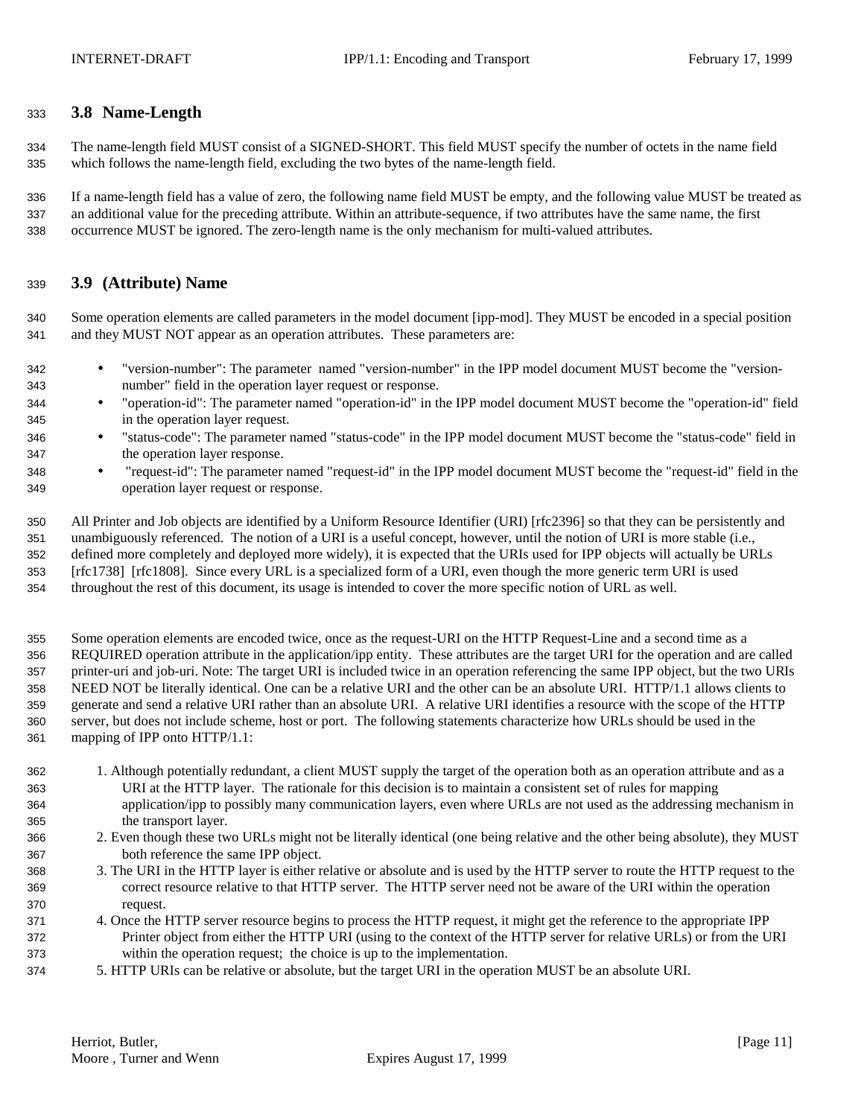## **3.8 Name-Length**

 The name-length field MUST consist of a SIGNED-SHORT. This field MUST specify the number of octets in the name field which follows the name-length field, excluding the two bytes of the name-length field.

 If a name-length field has a value of zero, the following name field MUST be empty, and the following value MUST be treated as an additional value for the preceding attribute. Within an attribute-sequence, if two attributes have the same name, the first occurrence MUST be ignored. The zero-length name is the only mechanism for multi-valued attributes.

## **3.9 (Attribute) Name**

 Some operation elements are called parameters in the model document [ipp-mod]. They MUST be encoded in a special position and they MUST NOT appear as an operation attributes. These parameters are:

- "version-number": The parameter named "version-number" in the IPP model document MUST become the "version-number" field in the operation layer request or response.
- "operation-id": The parameter named "operation-id" in the IPP model document MUST become the "operation-id" field in the operation layer request.
- "status-code": The parameter named "status-code" in the IPP model document MUST become the "status-code" field in the operation layer response.
- "request-id": The parameter named "request-id" in the IPP model document MUST become the "request-id" field in the operation layer request or response.

 All Printer and Job objects are identified by a Uniform Resource Identifier (URI) [rfc2396] so that they can be persistently and unambiguously referenced. The notion of a URI is a useful concept, however, until the notion of URI is more stable (i.e., defined more completely and deployed more widely), it is expected that the URIs used for IPP objects will actually be URLs [rfc1738] [rfc1808]. Since every URL is a specialized form of a URI, even though the more generic term URI is used throughout the rest of this document, its usage is intended to cover the more specific notion of URL as well.

 Some operation elements are encoded twice, once as the request-URI on the HTTP Request-Line and a second time as a REQUIRED operation attribute in the application/ipp entity. These attributes are the target URI for the operation and are called printer-uri and job-uri. Note: The target URI is included twice in an operation referencing the same IPP object, but the two URIs NEED NOT be literally identical. One can be a relative URI and the other can be an absolute URI. HTTP/1.1 allows clients to generate and send a relative URI rather than an absolute URI. A relative URI identifies a resource with the scope of the HTTP server, but does not include scheme, host or port. The following statements characterize how URLs should be used in the mapping of IPP onto HTTP/1.1:

- 1. Although potentially redundant, a client MUST supply the target of the operation both as an operation attribute and as a URI at the HTTP layer. The rationale for this decision is to maintain a consistent set of rules for mapping application/ipp to possibly many communication layers, even where URLs are not used as the addressing mechanism in the transport layer.
- 2. Even though these two URLs might not be literally identical (one being relative and the other being absolute), they MUST both reference the same IPP object.
- 3. The URI in the HTTP layer is either relative or absolute and is used by the HTTP server to route the HTTP request to the correct resource relative to that HTTP server. The HTTP server need not be aware of the URI within the operation request.
- 4. Once the HTTP server resource begins to process the HTTP request, it might get the reference to the appropriate IPP Printer object from either the HTTP URI (using to the context of the HTTP server for relative URLs) or from the URI within the operation request; the choice is up to the implementation.
- 5. HTTP URIs can be relative or absolute, but the target URI in the operation MUST be an absolute URI.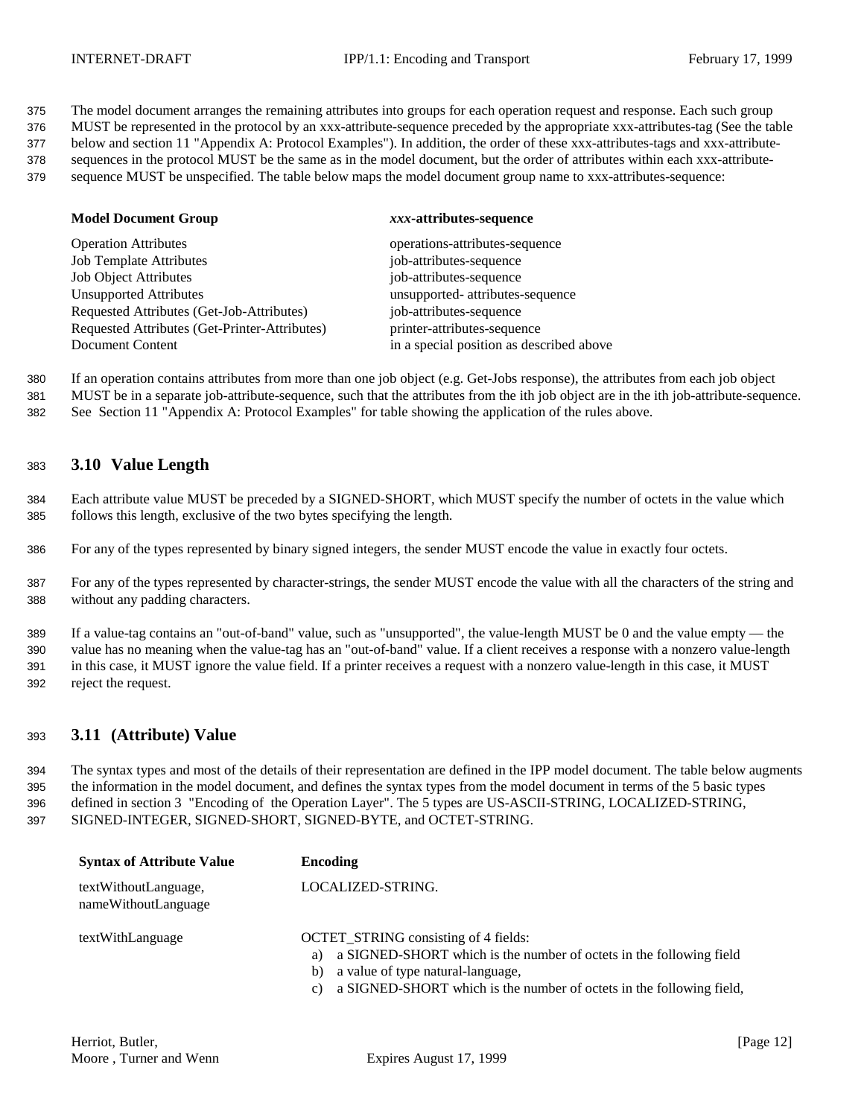375 The model document arranges the remaining attributes into groups for each operation request and response. Each such group

376 MUST be represented in the protocol by an xxx-attribute-sequence preceded by the appropriate xxx-attributes-tag (See the table

377 below and section 11 "Appendix A: Protocol Examples"). In addition, the order of these xxx-attributes-tags and xxx-attribute-

378 sequences in the protocol MUST be the same as in the model document, but the order of attributes within each xxx-attribute-

379 sequence MUST be unspecified. The table below maps the model document group name to xxx-attributes-sequence:

| <b>Model Document Group</b>                   | xxx-attributes-sequence                  |
|-----------------------------------------------|------------------------------------------|
| <b>Operation Attributes</b>                   | operations-attributes-sequence           |
| <b>Job Template Attributes</b>                | job-attributes-sequence                  |
| <b>Job Object Attributes</b>                  | job-attributes-sequence                  |
| <b>Unsupported Attributes</b>                 | unsupported- attributes-sequence         |
| Requested Attributes (Get-Job-Attributes)     | job-attributes-sequence                  |
| Requested Attributes (Get-Printer-Attributes) | printer-attributes-sequence              |
| Document Content                              | in a special position as described above |

380 If an operation contains attributes from more than one job object (e.g. Get-Jobs response), the attributes from each job object 381 MUST be in a separate job-attribute-sequence, such that the attributes from the ith job object are in the ith job-attribute-sequence.

382 See Section 11 "Appendix A: Protocol Examples" for table showing the application of the rules above.

## <sup>383</sup> **3.10 Value Length**

384 Each attribute value MUST be preceded by a SIGNED-SHORT, which MUST specify the number of octets in the value which 385 follows this length, exclusive of the two bytes specifying the length.

386 For any of the types represented by binary signed integers, the sender MUST encode the value in exactly four octets.

387 For any of the types represented by character-strings, the sender MUST encode the value with all the characters of the string and 388 without any padding characters.

 If a value-tag contains an "out-of-band" value, such as "unsupported", the value-length MUST be 0 and the value empty — the value has no meaning when the value-tag has an "out-of-band" value. If a client receives a response with a nonzero value-length in this case, it MUST ignore the value field. If a printer receives a request with a nonzero value-length in this case, it MUST reject the request.

### <sup>393</sup> **3.11 (Attribute) Value**

 The syntax types and most of the details of their representation are defined in the IPP model document. The table below augments the information in the model document, and defines the syntax types from the model document in terms of the 5 basic types defined in section 3 "Encoding of the Operation Layer". The 5 types are US-ASCII-STRING, LOCALIZED-STRING, SIGNED-INTEGER, SIGNED-SHORT, SIGNED-BYTE, and OCTET-STRING.

| <b>Syntax of Attribute Value</b>            | Encoding                                                                                                                                                                                                                                          |
|---------------------------------------------|---------------------------------------------------------------------------------------------------------------------------------------------------------------------------------------------------------------------------------------------------|
| textWithoutLanguage,<br>nameWithoutLanguage | LOCALIZED-STRING.                                                                                                                                                                                                                                 |
| textWithLanguage                            | <b>OCTET STRING consisting of 4 fields:</b><br>a SIGNED-SHORT which is the number of octets in the following field<br>a)<br>a value of type natural-language,<br>b)<br>a SIGNED-SHORT which is the number of octets in the following field,<br>C) |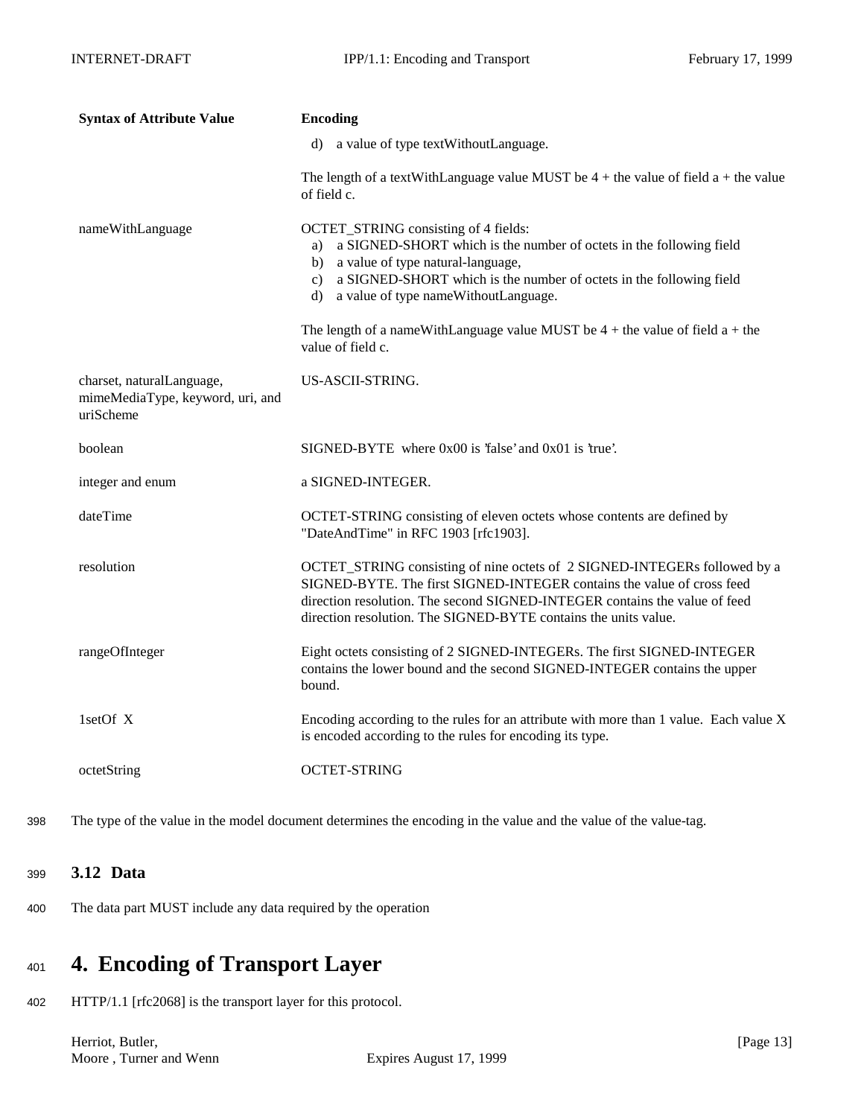| <b>Syntax of Attribute Value</b>                                           | <b>Encoding</b>                                                                                                                                                                                                                                                                                      |  |  |
|----------------------------------------------------------------------------|------------------------------------------------------------------------------------------------------------------------------------------------------------------------------------------------------------------------------------------------------------------------------------------------------|--|--|
|                                                                            | a value of type textWithoutLanguage.<br>d)                                                                                                                                                                                                                                                           |  |  |
|                                                                            | The length of a textWithLanguage value MUST be $4 +$ the value of field a + the value<br>of field c.                                                                                                                                                                                                 |  |  |
| nameWithLanguage                                                           | OCTET_STRING consisting of 4 fields:<br>a) a SIGNED-SHORT which is the number of octets in the following field<br>b) a value of type natural-language,<br>a SIGNED-SHORT which is the number of octets in the following field<br>c)<br>a value of type nameWithoutLanguage.<br>d)                    |  |  |
|                                                                            | The length of a nameWithLanguage value MUST be $4 +$ the value of field $a +$ the<br>value of field c.                                                                                                                                                                                               |  |  |
| charset, naturalLanguage,<br>mimeMediaType, keyword, uri, and<br>uriScheme | US-ASCII-STRING.                                                                                                                                                                                                                                                                                     |  |  |
| boolean                                                                    | $SIGNED-BYTE$ where $0x00$ is 'false' and $0x01$ is 'true'.                                                                                                                                                                                                                                          |  |  |
| integer and enum                                                           | a SIGNED-INTEGER.                                                                                                                                                                                                                                                                                    |  |  |
| dateTime                                                                   | OCTET-STRING consisting of eleven octets whose contents are defined by<br>"DateAndTime" in RFC 1903 [rfc1903].                                                                                                                                                                                       |  |  |
| resolution                                                                 | OCTET_STRING consisting of nine octets of 2 SIGNED-INTEGERs followed by a<br>SIGNED-BYTE. The first SIGNED-INTEGER contains the value of cross feed<br>direction resolution. The second SIGNED-INTEGER contains the value of feed<br>direction resolution. The SIGNED-BYTE contains the units value. |  |  |
| rangeOfInteger                                                             | Eight octets consisting of 2 SIGNED-INTEGERs. The first SIGNED-INTEGER<br>contains the lower bound and the second SIGNED-INTEGER contains the upper<br>bound.                                                                                                                                        |  |  |
| 1setOf X                                                                   | Encoding according to the rules for an attribute with more than 1 value. Each value X<br>is encoded according to the rules for encoding its type.                                                                                                                                                    |  |  |
| octetString                                                                | <b>OCTET-STRING</b>                                                                                                                                                                                                                                                                                  |  |  |

398 The type of the value in the model document determines the encoding in the value and the value of the value-tag.

## <sup>399</sup> **3.12 Data**

400 The data part MUST include any data required by the operation

# <sup>401</sup> **4. Encoding of Transport Layer**

402 HTTP/1.1 [rfc2068] is the transport layer for this protocol.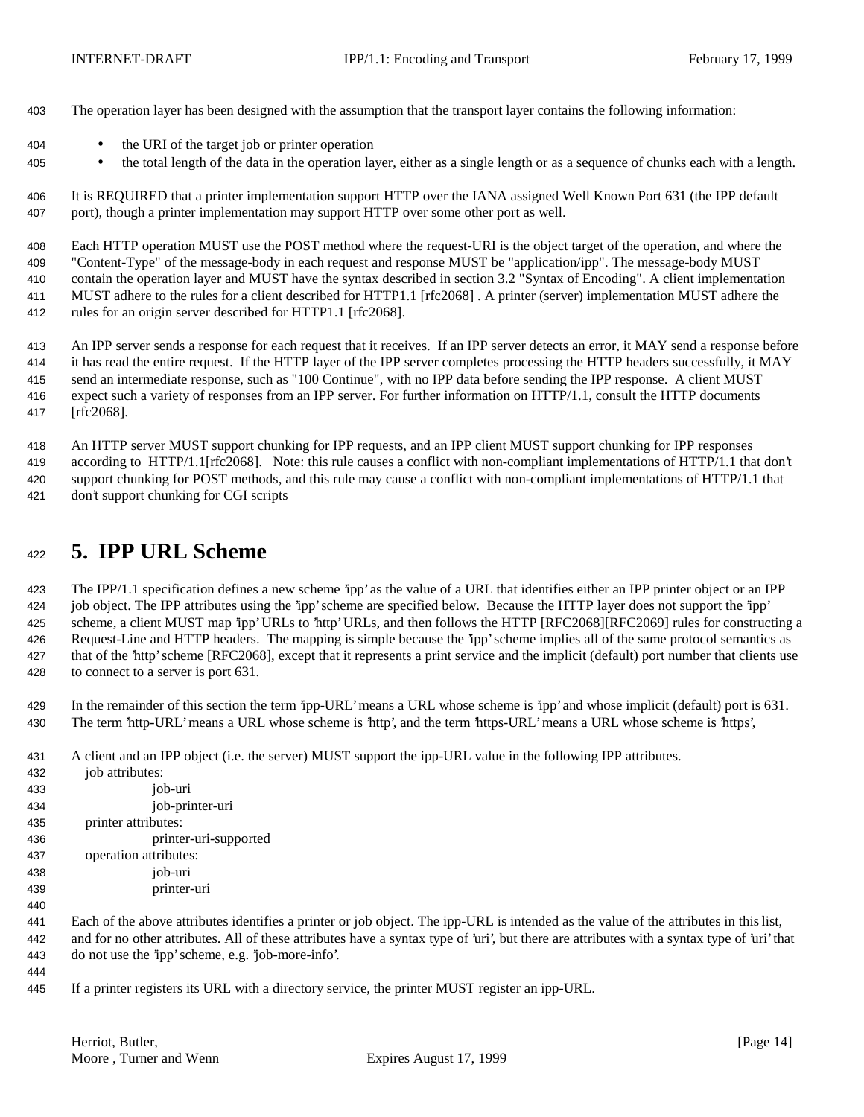- The operation layer has been designed with the assumption that the transport layer contains the following information:
- the URI of the target job or printer operation
- <sup>405</sup> the total length of the data in the operation layer, either as a single length or as a sequence of chunks each with a length.

 It is REQUIRED that a printer implementation support HTTP over the IANA assigned Well Known Port 631 (the IPP default port), though a printer implementation may support HTTP over some other port as well.

 Each HTTP operation MUST use the POST method where the request-URI is the object target of the operation, and where the "Content-Type" of the message-body in each request and response MUST be "application/ipp". The message-body MUST

contain the operation layer and MUST have the syntax described in section 3.2 "Syntax of Encoding". A client implementation

MUST adhere to the rules for a client described for HTTP1.1 [rfc2068] . A printer (server) implementation MUST adhere the

rules for an origin server described for HTTP1.1 [rfc2068].

 An IPP server sends a response for each request that it receives. If an IPP server detects an error, it MAY send a response before it has read the entire request. If the HTTP layer of the IPP server completes processing the HTTP headers successfully, it MAY send an intermediate response, such as "100 Continue", with no IPP data before sending the IPP response. A client MUST expect such a variety of responses from an IPP server. For further information on HTTP/1.1, consult the HTTP documents [rfc2068].

 An HTTP server MUST support chunking for IPP requests, and an IPP client MUST support chunking for IPP responses according to HTTP/1.1[rfc2068]. Note: this rule causes a conflict with non-compliant implementations of HTTP/1.1 that don't support chunking for POST methods, and this rule may cause a conflict with non-compliant implementations of HTTP/1.1 that don't support chunking for CGI scripts

# **5. IPP URL Scheme**

 The IPP/1.1 specification defines a new scheme 'ipp' as the value of a URL that identifies either an IPP printer object or an IPP job object. The IPP attributes using the 'ipp' scheme are specified below. Because the HTTP layer does not support the 'ipp' scheme, a client MUST map 'ipp' URLs to 'http' URLs, and then follows the HTTP [RFC2068][RFC2069] rules for constructing a Request-Line and HTTP headers. The mapping is simple because the 'ipp' scheme implies all of the same protocol semantics as that of the 'http' scheme [RFC2068], except that it represents a print service and the implicit (default) port number that clients use to connect to a server is port 631.

 In the remainder of this section the term 'ipp-URL' means a URL whose scheme is 'ipp' and whose implicit (default) port is 631. The term 'http-URL' means a URL whose scheme is 'http', and the term 'https-URL' means a URL whose scheme is 'https',

A client and an IPP object (i.e. the server) MUST support the ipp-URL value in the following IPP attributes.

| 432 | job attributes:       |
|-----|-----------------------|
| 433 | job-uri               |
| 434 | job-printer-uri       |
| 435 | printer attributes:   |
| 436 | printer-uri-supported |
| 437 | operation attributes: |
| 438 | job-uri               |
| 439 | printer-uri           |

 Each of the above attributes identifies a printer or job object. The ipp-URL is intended as the value of the attributes in this list, and for no other attributes. All of these attributes have a syntax type of 'uri', but there are attributes with a syntax type of 'uri' that do not use the 'ipp' scheme, e.g. 'job-more-info'.

If a printer registers its URL with a directory service, the printer MUST register an ipp-URL.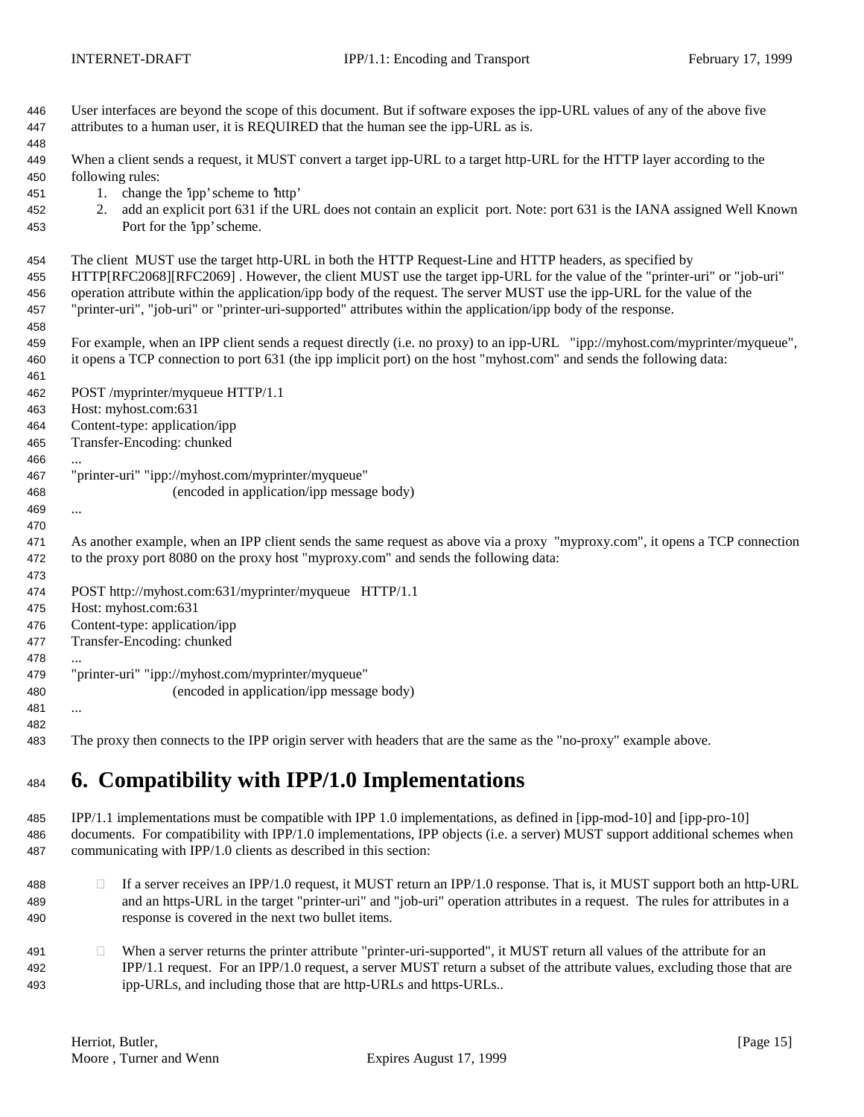| 446<br>447<br>448 | User interfaces are beyond the scope of this document. But if software exposes the ipp-URL values of any of the above five<br>attributes to a human user, it is REQUIRED that the human see the ipp-URL as is. |
|-------------------|----------------------------------------------------------------------------------------------------------------------------------------------------------------------------------------------------------------|
| 449<br>450        | When a client sends a request, it MUST convert a target ipp-URL to a target http-URL for the HTTP layer according to the<br>following rules:                                                                   |
| 451               | change the 'ipp' scheme to 'http'<br>1.                                                                                                                                                                        |
| 452               | add an explicit port 631 if the URL does not contain an explicit port. Note: port 631 is the IANA assigned Well Known<br>2.                                                                                    |
| 453               | Port for the 'ipp' scheme.                                                                                                                                                                                     |
| 454               | The client MUST use the target http-URL in both the HTTP Request-Line and HTTP headers, as specified by                                                                                                        |
| 455               | HTTP[RFC2068][RFC2069]. However, the client MUST use the target ipp-URL for the value of the "printer-uri" or "job-uri"                                                                                        |
| 456               | operation attribute within the application/ipp body of the request. The server MUST use the ipp-URL for the value of the                                                                                       |
| 457               | "printer-uri", "job-uri" or "printer-uri-supported" attributes within the application/ipp body of the response.                                                                                                |
| 458               |                                                                                                                                                                                                                |
| 459               | For example, when an IPP client sends a request directly (i.e. no proxy) to an ipp-URL "ipp://myhost.com/myprinter/myqueue",                                                                                   |
| 460<br>461        | it opens a TCP connection to port 631 (the ipp implicit port) on the host "myhost.com" and sends the following data:                                                                                           |
| 462               | POST /myprinter/myqueue HTTP/1.1                                                                                                                                                                               |
| 463               | Host: myhost.com:631                                                                                                                                                                                           |
| 464               | Content-type: application/ipp                                                                                                                                                                                  |
| 465               | Transfer-Encoding: chunked                                                                                                                                                                                     |
| 466               |                                                                                                                                                                                                                |
| 467               | "printer-uri" "ipp://myhost.com/myprinter/myqueue"                                                                                                                                                             |
| 468               | (encoded in application/ipp message body)                                                                                                                                                                      |
| 469               |                                                                                                                                                                                                                |
| 470               |                                                                                                                                                                                                                |
| 471               | As another example, when an IPP client sends the same request as above via a proxy "myproxy.com", it opens a TCP connection                                                                                    |
| 472               | to the proxy port 8080 on the proxy host "myproxy.com" and sends the following data:                                                                                                                           |
| 473               |                                                                                                                                                                                                                |
| 474               | POST http://myhost.com:631/myprinter/myqueue HTTP/1.1                                                                                                                                                          |
| 475               | Host: myhost.com:631                                                                                                                                                                                           |
| 476               | Content-type: application/ipp                                                                                                                                                                                  |
| 477               | Transfer-Encoding: chunked                                                                                                                                                                                     |
| 478               |                                                                                                                                                                                                                |
| 479               | "printer-uri" "ipp://myhost.com/myprinter/myqueue"                                                                                                                                                             |
| 480               | (encoded in application/ipp message body)                                                                                                                                                                      |
| 481               |                                                                                                                                                                                                                |
| 482               |                                                                                                                                                                                                                |
| 483               | The proxy then connects to the IPP origin server with headers that are the same as the "no-proxy" example above.                                                                                               |

# **6. Compatibility with IPP/1.0 Implementations**

 IPP/1.1 implementations must be compatible with IPP 1.0 implementations, as defined in [ipp-mod-10] and [ipp-pro-10] documents. For compatibility with IPP/1.0 implementations, IPP objects (i.e. a server) MUST support additional schemes when communicating with IPP/1.0 clients as described in this section:

- 488 If a server receives an IPP/1.0 request, it MUST return an IPP/1.0 response. That is, it MUST support both an http-URL and an https-URL in the target "printer-uri" and "job-uri" operation attributes in a request. The rules for attributes in a response is covered in the next two bullet items.
- 491 When a server returns the printer attribute "printer-uri-supported", it MUST return all values of the attribute for an IPP/1.1 request. For an IPP/1.0 request, a server MUST return a subset of the attribute values, excluding those that are ipp-URLs, and including those that are http-URLs and https-URLs..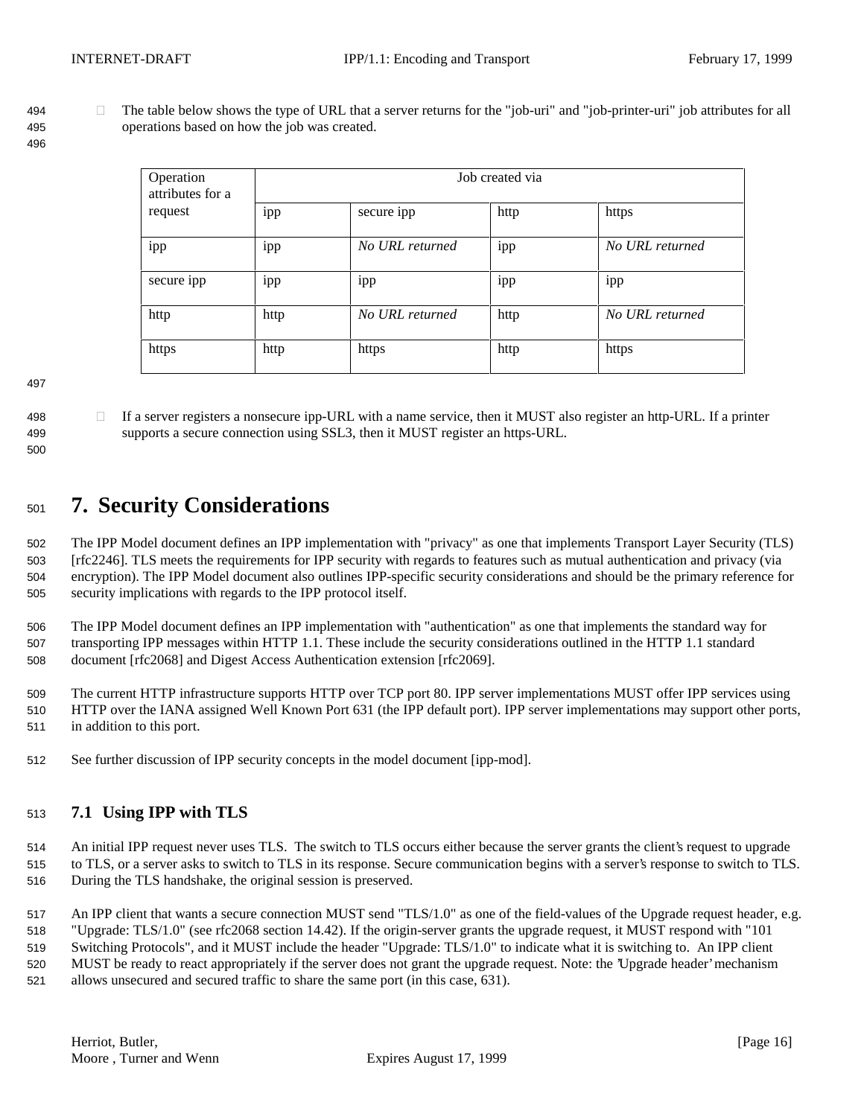494 The table below shows the type of URL that a server returns for the "job-uri" and "job-printer-uri" job attributes for all operations based on how the job was created.

| Operation<br>attributes for a | Job created via |                 |      |                 |
|-------------------------------|-----------------|-----------------|------|-----------------|
| request                       | ipp             | secure ipp      | http | https           |
| 1pp                           | 1pp             | No URL returned | 1pp  | No URL returned |
| secure ipp                    | 1pp             | 1pp             | 1pp  | 1pp             |
| http                          | http            | No URL returned | http | No URL returned |
| https                         | http            | https           | http | https           |

- 
- 
- 498 If a server registers a nonsecure ipp-URL with a name service, then it MUST also register an http-URL. If a printer supports a secure connection using SSL3, then it MUST register an https-URL.

# **7. Security Considerations**

 The IPP Model document defines an IPP implementation with "privacy" as one that implements Transport Layer Security (TLS) [rfc2246]. TLS meets the requirements for IPP security with regards to features such as mutual authentication and privacy (via encryption). The IPP Model document also outlines IPP-specific security considerations and should be the primary reference for security implications with regards to the IPP protocol itself.

 The IPP Model document defines an IPP implementation with "authentication" as one that implements the standard way for transporting IPP messages within HTTP 1.1. These include the security considerations outlined in the HTTP 1.1 standard document [rfc2068] and Digest Access Authentication extension [rfc2069].

 The current HTTP infrastructure supports HTTP over TCP port 80. IPP server implementations MUST offer IPP services using HTTP over the IANA assigned Well Known Port 631 (the IPP default port). IPP server implementations may support other ports, in addition to this port.

See further discussion of IPP security concepts in the model document [ipp-mod].

## **7.1 Using IPP with TLS**

An initial IPP request never uses TLS. The switch to TLS occurs either because the server grants the client's request to upgrade

 to TLS, or a server asks to switch to TLS in its response. Secure communication begins with a server's response to switch to TLS. During the TLS handshake, the original session is preserved.

517 An IPP client that wants a secure connection MUST send "TLS/1.0" as one of the field-values of the Upgrade request header, e.g.

"Upgrade: TLS/1.0" (see rfc2068 section 14.42). If the origin-server grants the upgrade request, it MUST respond with "101

Switching Protocols", and it MUST include the header "Upgrade: TLS/1.0" to indicate what it is switching to. An IPP client

MUST be ready to react appropriately if the server does not grant the upgrade request. Note: the 'Upgrade header' mechanism

allows unsecured and secured traffic to share the same port (in this case, 631).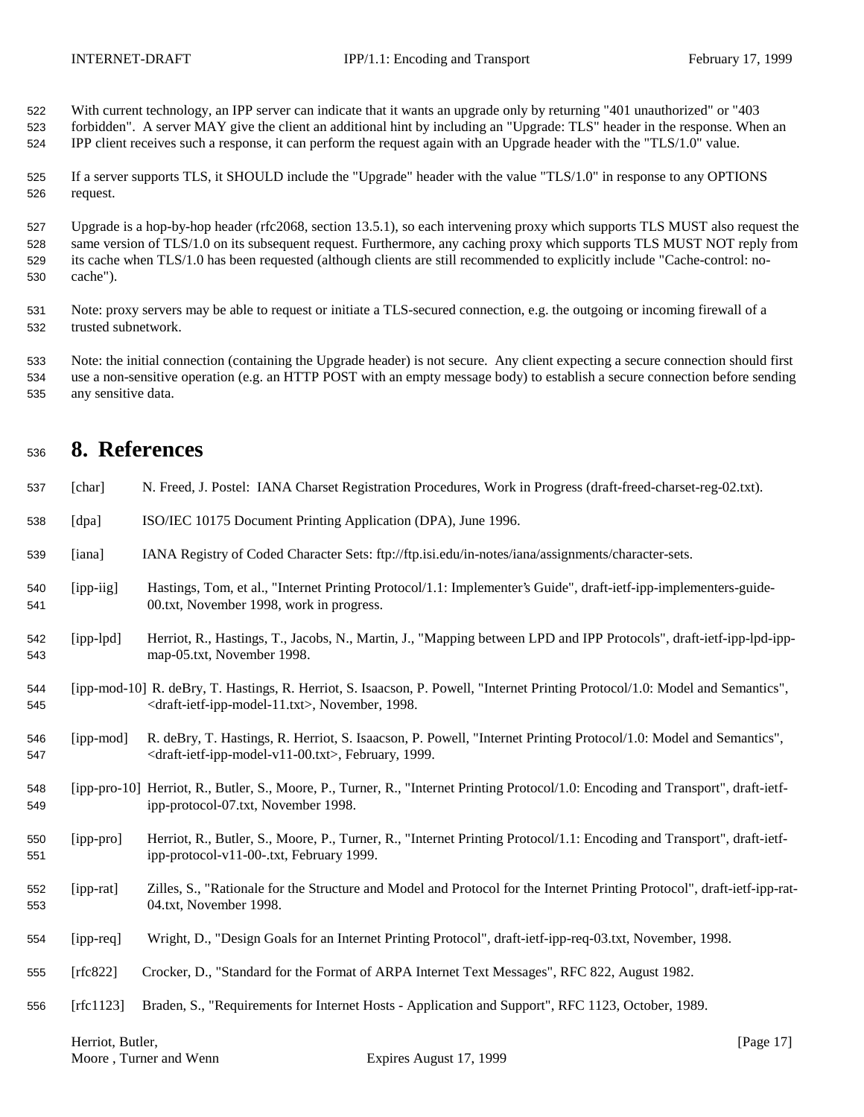With current technology, an IPP server can indicate that it wants an upgrade only by returning "401 unauthorized" or "403

 forbidden". A server MAY give the client an additional hint by including an "Upgrade: TLS" header in the response. When an IPP client receives such a response, it can perform the request again with an Upgrade header with the "TLS/1.0" value.

 If a server supports TLS, it SHOULD include the "Upgrade" header with the value "TLS/1.0" in response to any OPTIONS request.

 Upgrade is a hop-by-hop header (rfc2068, section 13.5.1), so each intervening proxy which supports TLS MUST also request the same version of TLS/1.0 on its subsequent request. Furthermore, any caching proxy which supports TLS MUST NOT reply from its cache when TLS/1.0 has been requested (although clients are still recommended to explicitly include "Cache-control: no-cache").

 Note: proxy servers may be able to request or initiate a TLS-secured connection, e.g. the outgoing or incoming firewall of a trusted subnetwork.

 Note: the initial connection (containing the Upgrade header) is not secure. Any client expecting a secure connection should first use a non-sensitive operation (e.g. an HTTP POST with an empty message body) to establish a secure connection before sending any sensitive data.

# **8. References**

| 537        | [char]      | N. Freed, J. Postel: IANA Charset Registration Procedures, Work in Progress (draft-freed-charset-reg-02.txt).                                                                                                  |
|------------|-------------|----------------------------------------------------------------------------------------------------------------------------------------------------------------------------------------------------------------|
| 538        | [dpa]       | ISO/IEC 10175 Document Printing Application (DPA), June 1996.                                                                                                                                                  |
| 539        | [iana]      | IANA Registry of Coded Character Sets: ftp://ftp.isi.edu/in-notes/iana/assignments/character-sets.                                                                                                             |
| 540<br>541 | [ipp-iig]   | Hastings, Tom, et al., "Internet Printing Protocol/1.1: Implementer's Guide", draft-ietf-ipp-implementers-guide-<br>00.txt, November 1998, work in progress.                                                   |
| 542<br>543 | $[ipp-lpd]$ | Herriot, R., Hastings, T., Jacobs, N., Martin, J., "Mapping between LPD and IPP Protocols", draft-ietf-ipp-lpd-ipp-<br>map-05.txt, November 1998.                                                              |
| 544<br>545 |             | [ipp-mod-10] R. deBry, T. Hastings, R. Herriot, S. Isaacson, P. Powell, "Internet Printing Protocol/1.0: Model and Semantics",<br><draft-ietf-ipp-model-11.txt>, November, 1998.</draft-ietf-ipp-model-11.txt> |
| 546<br>547 | [ipp-mod]   | R. deBry, T. Hastings, R. Herriot, S. Isaacson, P. Powell, "Internet Printing Protocol/1.0: Model and Semantics",<br><draft-ietf-ipp-model-v11-00.txt>, February, 1999.</draft-ietf-ipp-model-v11-00.txt>      |
| 548<br>549 |             | [ipp-pro-10] Herriot, R., Butler, S., Moore, P., Turner, R., "Internet Printing Protocol/1.0: Encoding and Transport", draft-ietf-<br>ipp-protocol-07.txt, November 1998.                                      |
| 550<br>551 | [ipp-pro]   | Herriot, R., Butler, S., Moore, P., Turner, R., "Internet Printing Protocol/1.1: Encoding and Transport", draft-ietf-<br>ipp-protocol-v11-00-.txt, February 1999.                                              |
| 552<br>553 | [ipp-rat]   | Zilles, S., "Rationale for the Structure and Model and Protocol for the Internet Printing Protocol", draft-ietf-ipp-rat-<br>04.txt, November 1998.                                                             |
| 554        | [ipp-req]   | Wright, D., "Design Goals for an Internet Printing Protocol", draft-ietf-ipp-req-03.txt, November, 1998.                                                                                                       |
| 555        | [rfc822]    | Crocker, D., "Standard for the Format of ARPA Internet Text Messages", RFC 822, August 1982.                                                                                                                   |
| 556        | [rfc1123]   | Braden, S., "Requirements for Internet Hosts - Application and Support", RFC 1123, October, 1989.                                                                                                              |
|            |             |                                                                                                                                                                                                                |

Herriot, Butler, [Page 17]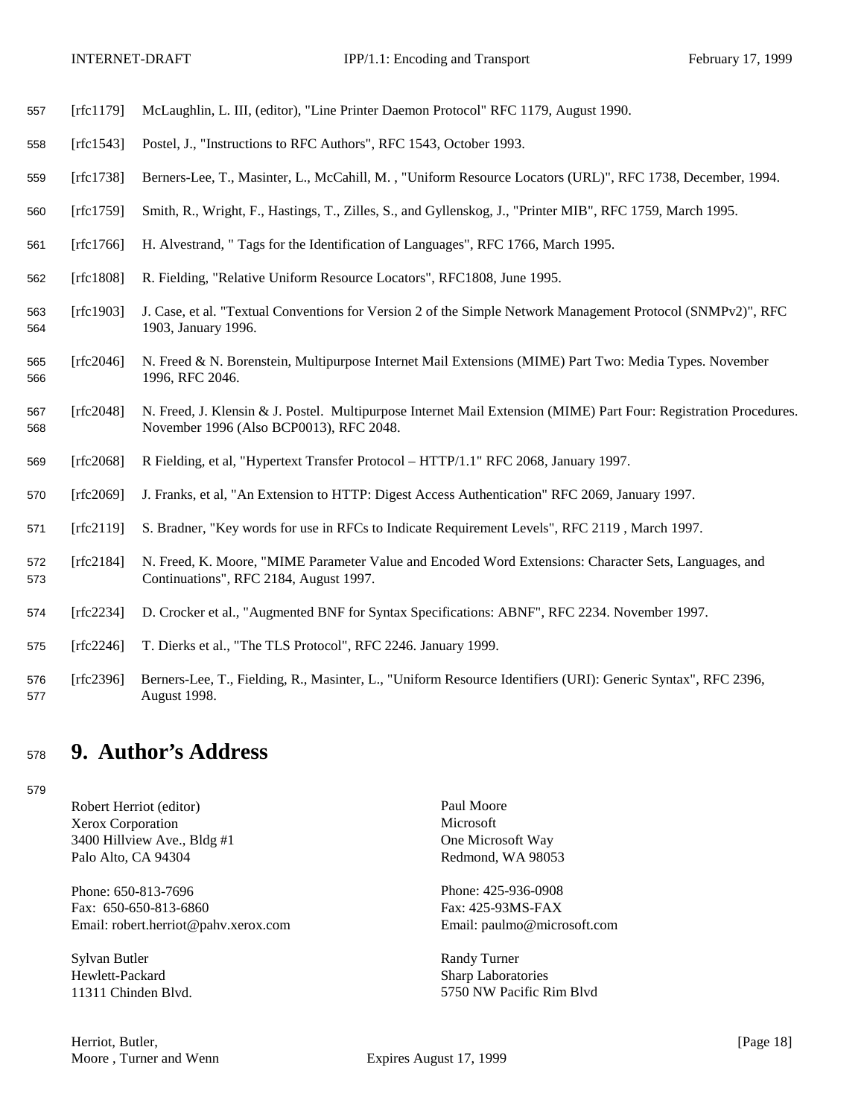- [rfc1179] McLaughlin, L. III, (editor), "Line Printer Daemon Protocol" RFC 1179, August 1990.
- [rfc1543] Postel, J., "Instructions to RFC Authors", RFC 1543, October 1993.
- [rfc1738] Berners-Lee, T., Masinter, L., McCahill, M. , "Uniform Resource Locators (URL)", RFC 1738, December, 1994.
- [rfc1759] Smith, R., Wright, F., Hastings, T., Zilles, S., and Gyllenskog, J., "Printer MIB", RFC 1759, March 1995.
- [rfc1766] H. Alvestrand, " Tags for the Identification of Languages", RFC 1766, March 1995.
- [rfc1808] R. Fielding, "Relative Uniform Resource Locators", RFC1808, June 1995.
- [rfc1903] J. Case, et al. "Textual Conventions for Version 2 of the Simple Network Management Protocol (SNMPv2)", RFC 1903, January 1996.
- [rfc2046] N. Freed & N. Borenstein, Multipurpose Internet Mail Extensions (MIME) Part Two: Media Types. November 1996, RFC 2046.
- [rfc2048] N. Freed, J. Klensin & J. Postel. Multipurpose Internet Mail Extension (MIME) Part Four: Registration Procedures. November 1996 (Also BCP0013), RFC 2048.
- [rfc2068] R Fielding, et al, "Hypertext Transfer Protocol HTTP/1.1" RFC 2068, January 1997.
- [rfc2069] J. Franks, et al, "An Extension to HTTP: Digest Access Authentication" RFC 2069, January 1997.
- [rfc2119] S. Bradner, "Key words for use in RFCs to Indicate Requirement Levels", RFC 2119 , March 1997.
- [rfc2184] N. Freed, K. Moore, "MIME Parameter Value and Encoded Word Extensions: Character Sets, Languages, and Continuations", RFC 2184, August 1997.
- [rfc2234] D. Crocker et al., "Augmented BNF for Syntax Specifications: ABNF", RFC 2234. November 1997.
- [rfc2246] T. Dierks et al., "The TLS Protocol", RFC 2246. January 1999.
- [rfc2396] Berners-Lee, T., Fielding, R., Masinter, L., "Uniform Resource Identifiers (URI): Generic Syntax", RFC 2396, August 1998.

# **9. Author's Address**

Robert Herriot (editor) Paul Moore Xerox Corporation Microsoft 3400 Hillview Ave., Bldg #1 One Microsoft Way Palo Alto, CA 94304 Redmond, WA 98053

Phone: 650-813-7696 Phone: 425-936-0908 Fax: 650-650-813-6860 Fax: 425-93MS-FAX Email: robert.herriot@pahv.xerox.com Email: paulmo@microsoft.com

Sylvan Butler Randy Turner Hewlett-Packard Sharp Laboratories

Herriot, Butler, [Page 18] Moore, Turner and Wenn Expires August 17, 1999

11311 Chinden Blvd. 5750 NW Pacific Rim Blvd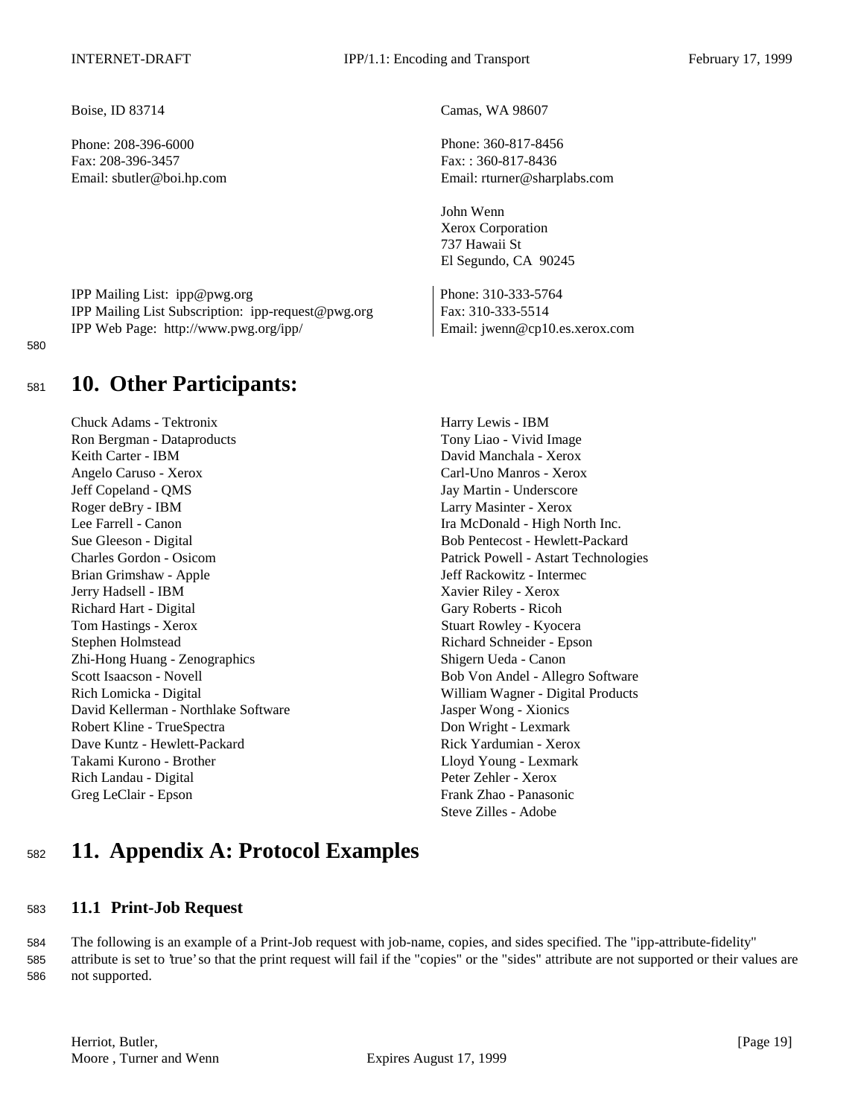Phone: 208-396-6000 Phone: 360-817-8456 Fax: 208-396-3457 Fax: : 360-817-8436

IPP Mailing List: ipp@pwg.org Phone: 310-333-5764 IPP Mailing List Subscription: ipp-request@pwg.org Fax: 310-333-5514 IPP Web Page: http://www.pwg.org/ipp/ Email: jwenn@cp10.es.xerox.com

#### 580

# <sup>581</sup> **10. Other Participants:**

Chuck Adams - Tektronix Harry Lewis - IBM Ron Bergman - Dataproducts Tony Liao - Vivid Image Keith Carter - IBM David Manchala - Xerox Angelo Caruso - Xerox Carl-Uno Manros - Xerox Jeff Copeland - QMS Jay Martin - Underscore Roger deBry - IBM Larry Masinter - Xerox Lee Farrell - Canon Ira McDonald - High North Inc. Sue Gleeson - Digital Bob Pentecost - Hewlett-Packard Charles Gordon - Osicom Patrick Powell - Astart Technologies Brian Grimshaw - Apple **1986 Jeff Rackowitz - Intermec** Jerry Hadsell - IBM Xavier Riley - Xerox Richard Hart - Digital Gary Roberts - Ricoh Tom Hastings - Xerox Stuart Rowley - Kyocera Stephen Holmstead Richard Schneider - Epson Zhi-Hong Huang - Zenographics Shigern Ueda - Canon Scott Isaacson - Novell **Bob Von Andel - Allegro Software** Rich Lomicka - Digital William Wagner - Digital Products David Kellerman - Northlake Software Jasper Wong - Xionics Robert Kline - TrueSpectra **Don Wright - Lexmark** Dave Kuntz - Hewlett-Packard **Rick Yardumian - Xerox** Rick Yardumian - Xerox Takami Kurono - Brother Lloyd Young - Lexmark Rich Landau - Digital Peter Zehler - Xerox Greg LeClair - Epson Frank Zhao - Panasonic

Boise, ID 83714 Camas, WA 98607

Email: sbutler@boi.hp.com Email: rturner@sharplabs.com

John Wenn Xerox Corporation 737 Hawaii St El Segundo, CA 90245

Steve Zilles - Adobe

# <sup>582</sup> **11. Appendix A: Protocol Examples**

## <sup>583</sup> **11.1 Print-Job Request**

584 The following is an example of a Print-Job request with job-name, copies, and sides specified. The "ipp-attribute-fidelity" 585 attribute is set to 'true' so that the print request will fail if the "copies" or the "sides" attribute are not supported or their values are 586 not supported.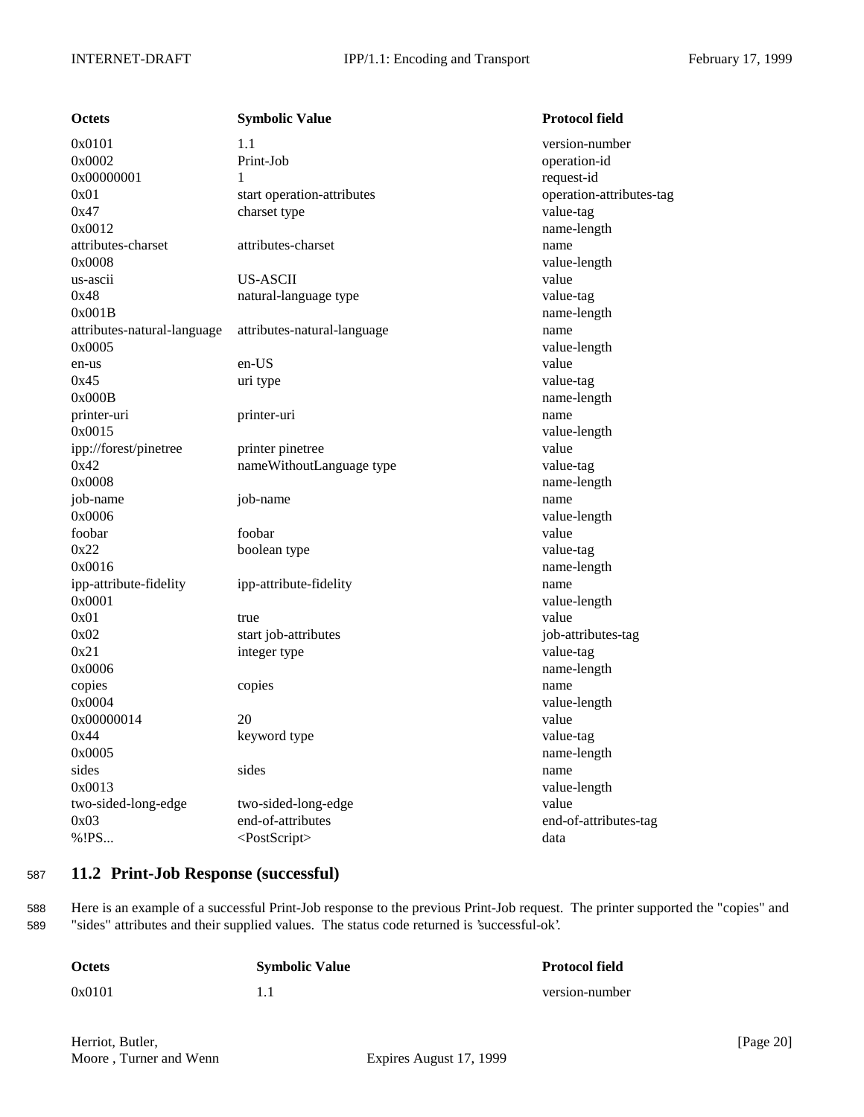| <b>Octets</b>               | <b>Symbolic Value</b>       | <b>Protocol field</b>    |
|-----------------------------|-----------------------------|--------------------------|
| 0x0101                      | 1.1                         | version-number           |
| 0x0002                      | Print-Job                   | operation-id             |
| 0x00000001                  | 1                           | request-id               |
| 0x01                        | start operation-attributes  | operation-attributes-tag |
| 0x47                        | charset type                | value-tag                |
| 0x0012                      |                             | name-length              |
| attributes-charset          | attributes-charset          | name                     |
| 0x0008                      |                             | value-length             |
| us-ascii                    | US-ASCII                    | value                    |
| 0x48                        | natural-language type       | value-tag                |
| 0x001B                      |                             | name-length              |
| attributes-natural-language | attributes-natural-language | name                     |
| 0x0005                      |                             | value-length             |
| en-us                       | en-US                       | value                    |
| 0x45                        | uri type                    | value-tag                |
| 0x000B                      |                             | name-length              |
| printer-uri                 | printer-uri                 | name                     |
| 0x0015                      |                             | value-length             |
| ipp://forest/pinetree       | printer pinetree            | value                    |
| 0x42                        | nameWithoutLanguage type    | value-tag                |
| 0x0008                      |                             | name-length              |
| job-name                    | job-name                    | name                     |
| 0x0006                      |                             | value-length             |
| foobar                      | foobar                      | value                    |
| 0x22                        | boolean type                | value-tag                |
| 0x0016                      |                             | name-length              |
| ipp-attribute-fidelity      | ipp-attribute-fidelity      | name                     |
| 0x0001                      |                             | value-length             |
| 0x01                        | true                        | value                    |
| 0x02                        | start job-attributes        | job-attributes-tag       |
| 0x21                        | integer type                | value-tag                |
| 0x0006                      |                             | name-length              |
| copies                      | copies                      | name                     |
| 0x0004                      |                             | value-length             |
| 0x00000014                  | 20                          | value                    |
| 0x44                        | keyword type                | value-tag                |
| 0x0005                      |                             | name-length              |
| sides                       | sides                       | name                     |
| 0x0013                      |                             | value-length             |
| two-sided-long-edge         | two-sided-long-edge         | value                    |
| 0x03                        | end-of-attributes           | end-of-attributes-tag    |
| %!PS                        | <postscript></postscript>   | data                     |
|                             |                             |                          |

## <sup>587</sup> **11.2 Print-Job Response (successful)**

588 Here is an example of a successful Print-Job response to the previous Print-Job request. The printer supported the "copies" and 589 "sides" attributes and their supplied values. The status code returned is 'successful-ok'.

| <b>Octets</b> | <b>Symbolic Value</b> | <b>Protocol field</b> |
|---------------|-----------------------|-----------------------|
| 0x0101        |                       | version-number        |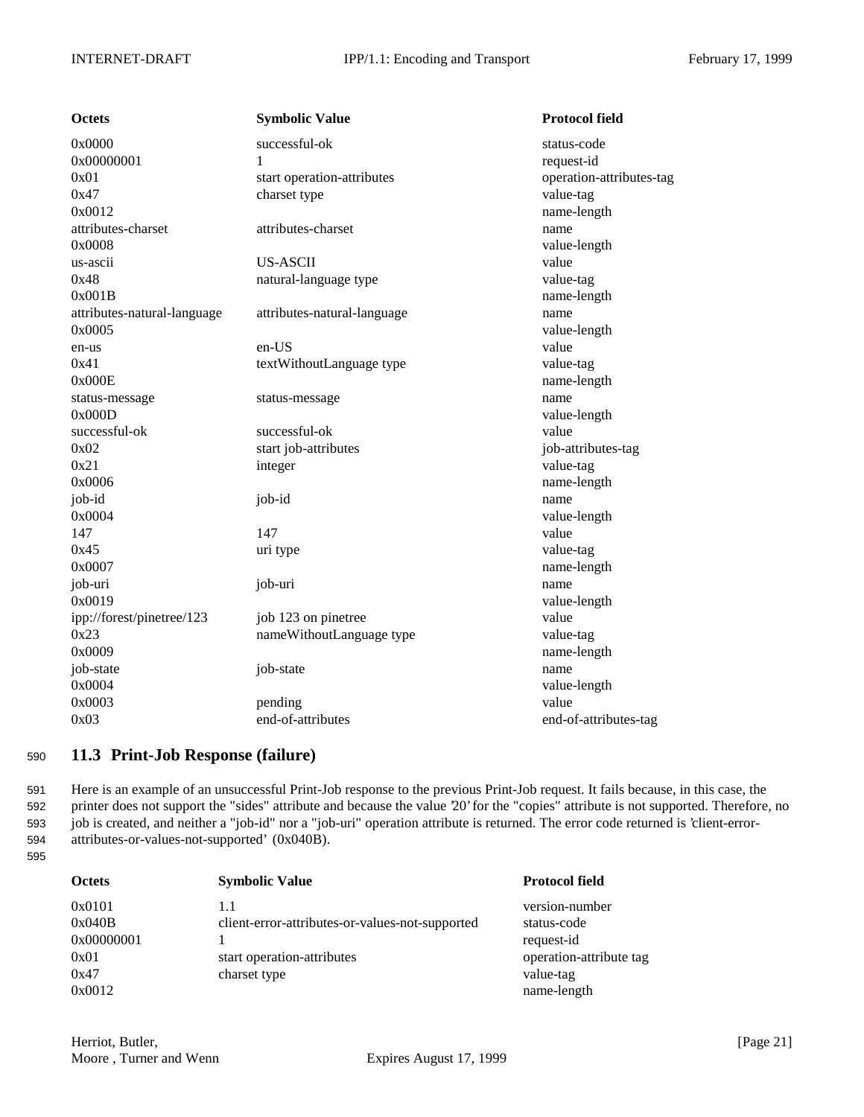| <b>Octets</b>               | <b>Symbolic Value</b>       | <b>Protocol field</b>    |
|-----------------------------|-----------------------------|--------------------------|
| 0x0000                      | successful-ok               | status-code              |
| 0x00000001                  | 1                           | request-id               |
| 0x01                        | start operation-attributes  | operation-attributes-tag |
| 0x47                        | charset type                | value-tag                |
| 0x0012                      |                             | name-length              |
| attributes-charset          | attributes-charset          | name                     |
| 0x0008                      |                             | value-length             |
| us-ascii                    | <b>US-ASCII</b>             | value                    |
| 0x48                        | natural-language type       | value-tag                |
| 0x001B                      |                             | name-length              |
| attributes-natural-language | attributes-natural-language | name                     |
| 0x0005                      |                             | value-length             |
| en-us                       | en-US                       | value                    |
| 0x41                        | textWithoutLanguage type    | value-tag                |
| 0x000E                      |                             | name-length              |
| status-message              | status-message              | name                     |
| 0x000D                      |                             | value-length             |
| successful-ok               | successful-ok               | value                    |
| 0x02                        | start job-attributes        | job-attributes-tag       |
| 0x21                        | integer                     | value-tag                |
| 0x0006                      |                             | name-length              |
| job-id                      | job-id                      | name                     |
| 0x0004                      |                             | value-length             |
| 147                         | 147                         | value                    |
| 0x45                        | uri type                    | value-tag                |
| 0x0007                      |                             | name-length              |
| job-uri                     | job-uri                     | name                     |
| 0x0019                      |                             | value-length             |
| ipp://forest/pinetree/123   | job 123 on pinetree         | value                    |
| 0x23                        | nameWithoutLanguage type    | value-tag                |
| 0x0009                      |                             | name-length              |
| job-state                   | job-state                   | name                     |
| 0x0004                      |                             | value-length             |
| 0x0003                      | pending                     | value                    |
| 0x03                        | end-of-attributes           | end-of-attributes-tag    |

## <sup>590</sup> **11.3 Print-Job Response (failure)**

 Here is an example of an unsuccessful Print-Job response to the previous Print-Job request. It fails because, in this case, the printer does not support the "sides" attribute and because the value '20' for the "copies" attribute is not supported. Therefore, no job is created, and neither a "job-id" nor a "job-uri" operation attribute is returned. The error code returned is 'client-error-attributes-or-values-not-supported' (0x040B).

<sup>595</sup>

| <b>Octets</b> | <b>Symbolic Value</b>                           | <b>Protocol field</b>   |
|---------------|-------------------------------------------------|-------------------------|
| 0x0101        | 1.1                                             | version-number          |
| 0x040B        | client-error-attributes-or-values-not-supported | status-code             |
| 0x00000001    |                                                 | request-id              |
| 0x01          | start operation-attributes                      | operation-attribute tag |
| 0x47          | charset type                                    | value-tag               |
| 0x0012        |                                                 | name-length             |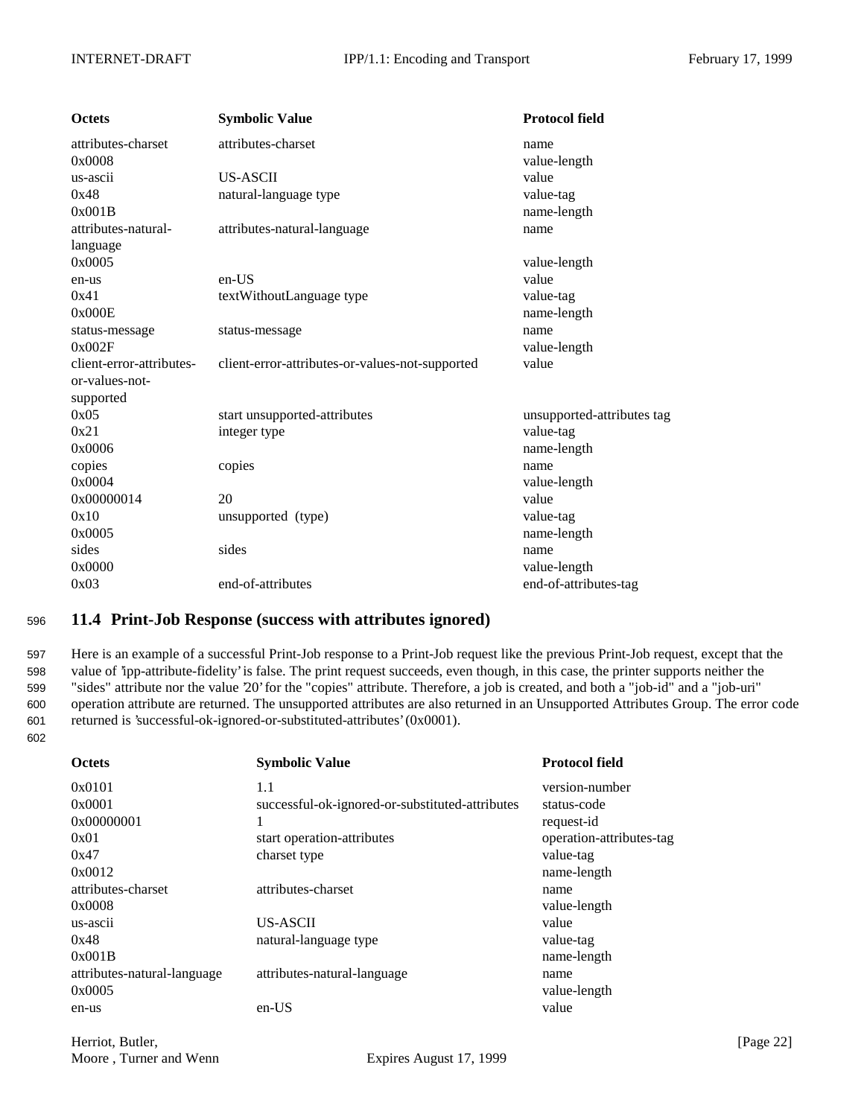| <b>Octets</b>            | <b>Symbolic Value</b>                           | <b>Protocol field</b>      |
|--------------------------|-------------------------------------------------|----------------------------|
| attributes-charset       | attributes-charset                              | name                       |
| 0x0008                   |                                                 | value-length               |
| us-ascii                 | <b>US-ASCII</b>                                 | value                      |
| 0x48                     | natural-language type                           | value-tag                  |
| 0x001B                   |                                                 | name-length                |
| attributes-natural-      | attributes-natural-language                     | name                       |
| language                 |                                                 |                            |
| 0x0005                   |                                                 | value-length               |
| en-us                    | en-US                                           | value                      |
| 0x41                     | textWithoutLanguage type                        | value-tag                  |
| 0x000E                   |                                                 | name-length                |
| status-message           | status-message                                  | name                       |
| 0x002F                   |                                                 | value-length               |
| client-error-attributes- | client-error-attributes-or-values-not-supported | value                      |
| or-values-not-           |                                                 |                            |
| supported                |                                                 |                            |
| 0x05                     | start unsupported-attributes                    | unsupported-attributes tag |
| 0x21                     | integer type                                    | value-tag                  |
| 0x0006                   |                                                 | name-length                |
| copies                   | copies                                          | name                       |
| 0x0004                   |                                                 | value-length               |
| 0x00000014               | 20                                              | value                      |
| 0x10                     | unsupported (type)                              | value-tag                  |
| 0x0005                   |                                                 | name-length                |
| sides                    | sides                                           | name                       |
| 0x0000                   |                                                 | value-length               |
| 0x03                     | end-of-attributes                               | end-of-attributes-tag      |

## <sup>596</sup> **11.4 Print-Job Response (success with attributes ignored)**

 Here is an example of a successful Print-Job response to a Print-Job request like the previous Print-Job request, except that the value of 'ipp-attribute-fidelity' is false. The print request succeeds, even though, in this case, the printer supports neither the "sides" attribute nor the value '20' for the "copies" attribute. Therefore, a job is created, and both a "job-id" and a "job-uri" operation attribute are returned. The unsupported attributes are also returned in an Unsupported Attributes Group. The error code returned is 'successful-ok-ignored-or-substituted-attributes' (0x0001).

602

| <b>Octets</b>               | <b>Symbolic Value</b>                           | <b>Protocol field</b>    |
|-----------------------------|-------------------------------------------------|--------------------------|
| 0x0101                      | 1.1                                             | version-number           |
| 0x0001                      | successful-ok-ignored-or-substituted-attributes | status-code              |
| 0x00000001                  |                                                 | request-id               |
| 0x01                        | start operation-attributes                      | operation-attributes-tag |
| 0x47                        | charset type                                    | value-tag                |
| 0x0012                      |                                                 | name-length              |
| attributes-charset          | attributes-charset                              | name                     |
| 0x0008                      |                                                 | value-length             |
| us-ascii                    | US-ASCII                                        | value                    |
| 0x48                        | natural-language type                           | value-tag                |
| 0x001B                      |                                                 | name-length              |
| attributes-natural-language | attributes-natural-language                     | name                     |
| 0x0005                      |                                                 | value-length             |
| en-us                       | $en-US$                                         | value                    |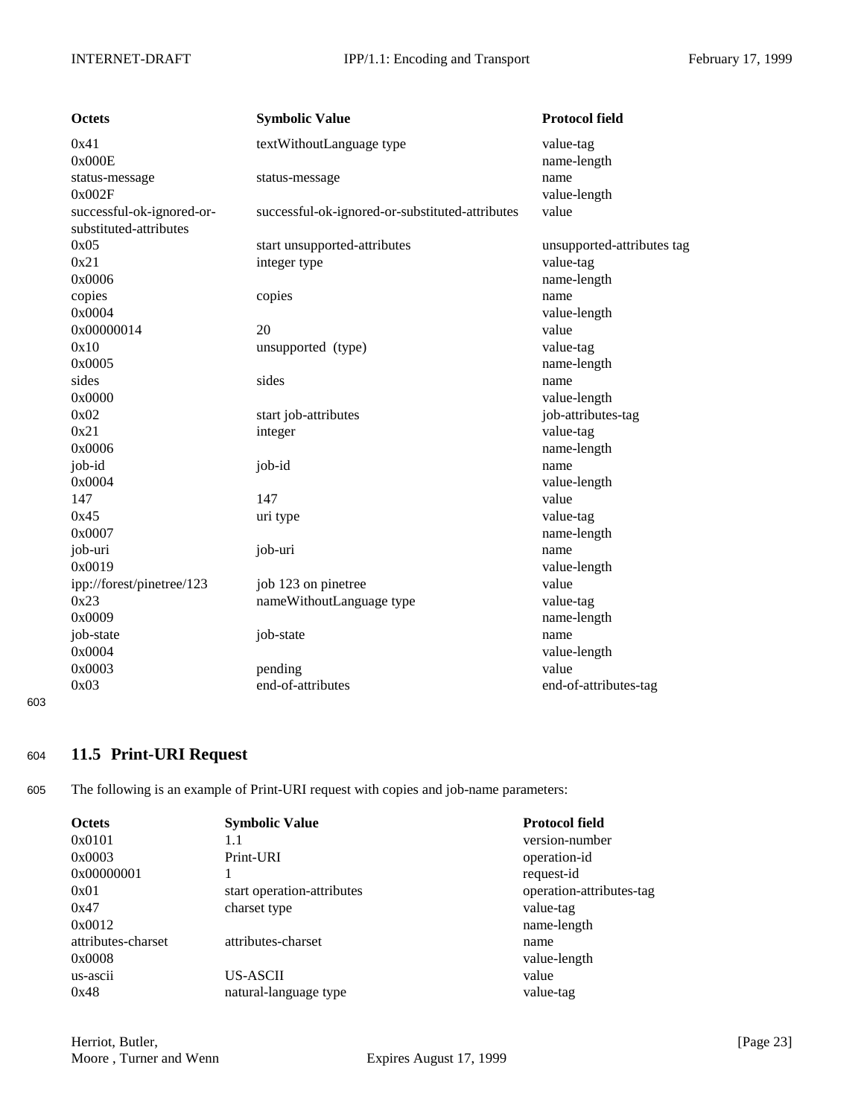| <b>Octets</b>             | <b>Symbolic Value</b>                           | <b>Protocol field</b>      |
|---------------------------|-------------------------------------------------|----------------------------|
| 0x41                      | textWithoutLanguage type                        | value-tag                  |
| 0x000E                    |                                                 | name-length                |
| status-message            | status-message                                  | name                       |
| 0x002F                    |                                                 | value-length               |
| successful-ok-ignored-or- | successful-ok-ignored-or-substituted-attributes | value                      |
| substituted-attributes    |                                                 |                            |
| 0x05                      | start unsupported-attributes                    | unsupported-attributes tag |
| 0x21                      | integer type                                    | value-tag                  |
| 0x0006                    |                                                 | name-length                |
| copies                    | copies                                          | name                       |
| 0x0004                    |                                                 | value-length               |
| 0x00000014                | 20                                              | value                      |
| 0x10                      | unsupported (type)                              | value-tag                  |
| 0x0005                    |                                                 | name-length                |
| sides                     | sides                                           | name                       |
| 0x0000                    |                                                 | value-length               |
| 0x02                      | start job-attributes                            | job-attributes-tag         |
| 0x21                      | integer                                         | value-tag                  |
| 0x0006                    |                                                 | name-length                |
| job-id                    | job-id                                          | name                       |
| 0x0004                    |                                                 | value-length               |
| 147                       | 147                                             | value                      |
| 0x45                      | uri type                                        | value-tag                  |
| 0x0007                    |                                                 | name-length                |
| job-uri                   | job-uri                                         | name                       |
| 0x0019                    |                                                 | value-length               |
| ipp://forest/pinetree/123 | job 123 on pinetree                             | value                      |
| 0x23                      | nameWithoutLanguage type                        | value-tag                  |
| 0x0009                    |                                                 | name-length                |
| job-state                 | job-state                                       | name                       |
| 0x0004                    |                                                 | value-length               |
| 0x0003                    | pending                                         | value                      |
| 0x03                      | end-of-attributes                               | end-of-attributes-tag      |

603

## <sup>604</sup> **11.5 Print-URI Request**

605 The following is an example of Print-URI request with copies and job-name parameters:

| <b>Octets</b>      | <b>Symbolic Value</b>      | <b>Protocol field</b>    |
|--------------------|----------------------------|--------------------------|
| 0x0101             | 1.1                        | version-number           |
| 0x0003             | Print-URI                  | operation-id             |
| 0x00000001         |                            | request-id               |
| 0x01               | start operation-attributes | operation-attributes-tag |
| 0x47               | charset type               | value-tag                |
| 0x0012             |                            | name-length              |
| attributes-charset | attributes-charset         | name                     |
| 0x0008             |                            | value-length             |
| us-ascii           | US-ASCII                   | value                    |
| 0x48               | natural-language type      | value-tag                |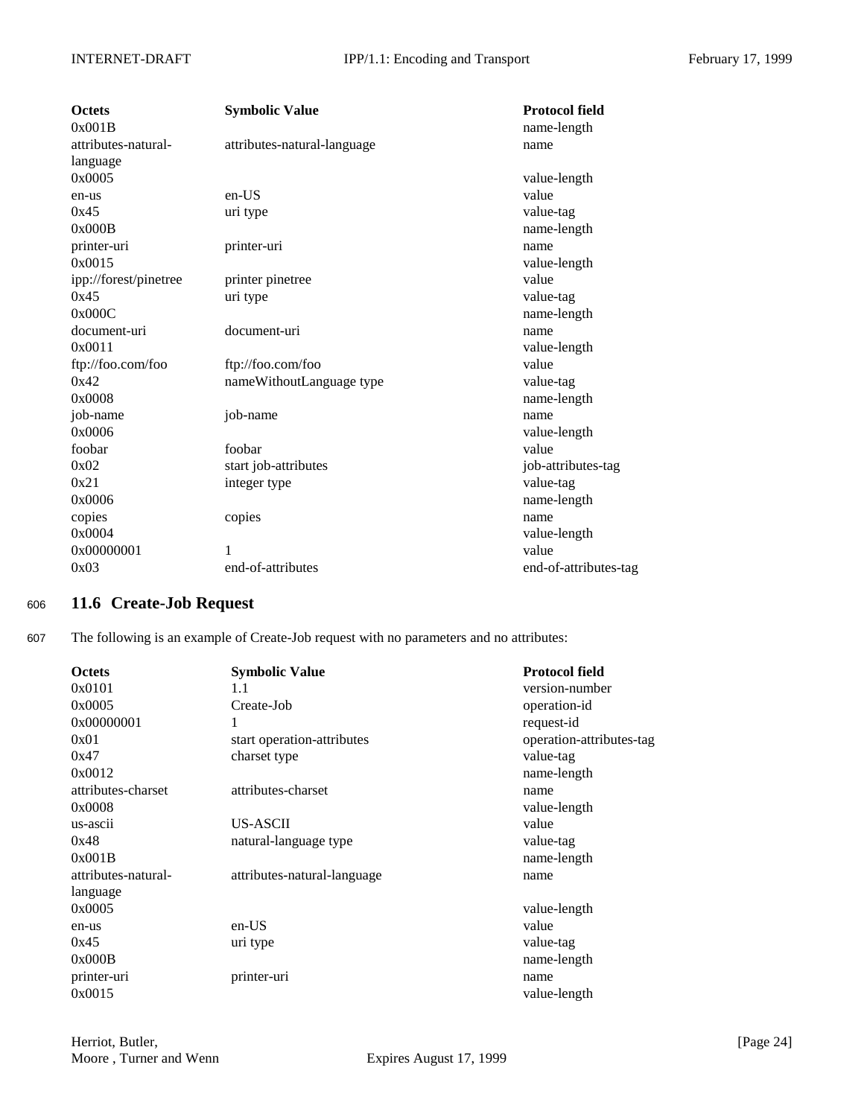| <b>Octets</b><br>0x001B | <b>Symbolic Value</b>       | <b>Protocol field</b><br>name-length |
|-------------------------|-----------------------------|--------------------------------------|
| attributes-natural-     | attributes-natural-language | name                                 |
| language                |                             |                                      |
| 0x0005                  |                             | value-length                         |
| en-us                   | $en-US$                     | value                                |
| 0x45                    | uri type                    | value-tag                            |
| 0x000B                  |                             | name-length                          |
| printer-uri             | printer-uri                 | name                                 |
| 0x0015                  |                             | value-length                         |
| ipp://forest/pinetree   | printer pinetree            | value                                |
| 0x45                    | uri type                    | value-tag                            |
| 0x000C                  |                             | name-length                          |
| document-uri            | document-uri                | name                                 |
| 0x0011                  |                             | value-length                         |
| ftp://foo.com/foo       | ftp://foo.com/foo           | value                                |
| 0x42                    | nameWithoutLanguage type    | value-tag                            |
| 0x0008                  |                             | name-length                          |
| job-name                | job-name                    | name                                 |
| 0x0006                  |                             | value-length                         |
| foobar                  | foobar                      | value                                |
| 0x02                    | start job-attributes        | job-attributes-tag                   |
| 0x21                    | integer type                | value-tag                            |
| 0x0006                  |                             | name-length                          |
| copies                  | copies                      | name                                 |
| 0x0004                  |                             | value-length                         |
| 0x00000001              |                             | value                                |
| 0x03                    | end-of-attributes           | end-of-attributes-tag                |

## <sup>606</sup> **11.6 Create-Job Request**

607 The following is an example of Create-Job request with no parameters and no attributes:

| <b>Octets</b>       | <b>Symbolic Value</b>       | <b>Protocol field</b>    |
|---------------------|-----------------------------|--------------------------|
| 0x0101              | 1.1                         | version-number           |
| 0x0005              | Create-Job                  | operation-id             |
| 0x00000001          | 1                           | request-id               |
| 0x01                | start operation-attributes  | operation-attributes-tag |
| 0x47                | charset type                | value-tag                |
| 0x0012              |                             | name-length              |
| attributes-charset  | attributes-charset          | name                     |
| 0x0008              |                             | value-length             |
| us-ascii            | US-ASCII                    | value                    |
| 0x48                | natural-language type       | value-tag                |
| 0x001B              |                             | name-length              |
| attributes-natural- | attributes-natural-language | name                     |
| language            |                             |                          |
| 0x0005              |                             | value-length             |
| en-us               | $en-US$                     | value                    |
| 0x45                | uri type                    | value-tag                |
| 0x000B              |                             | name-length              |
| printer-uri         | printer-uri                 | name                     |
| 0x0015              |                             | value-length             |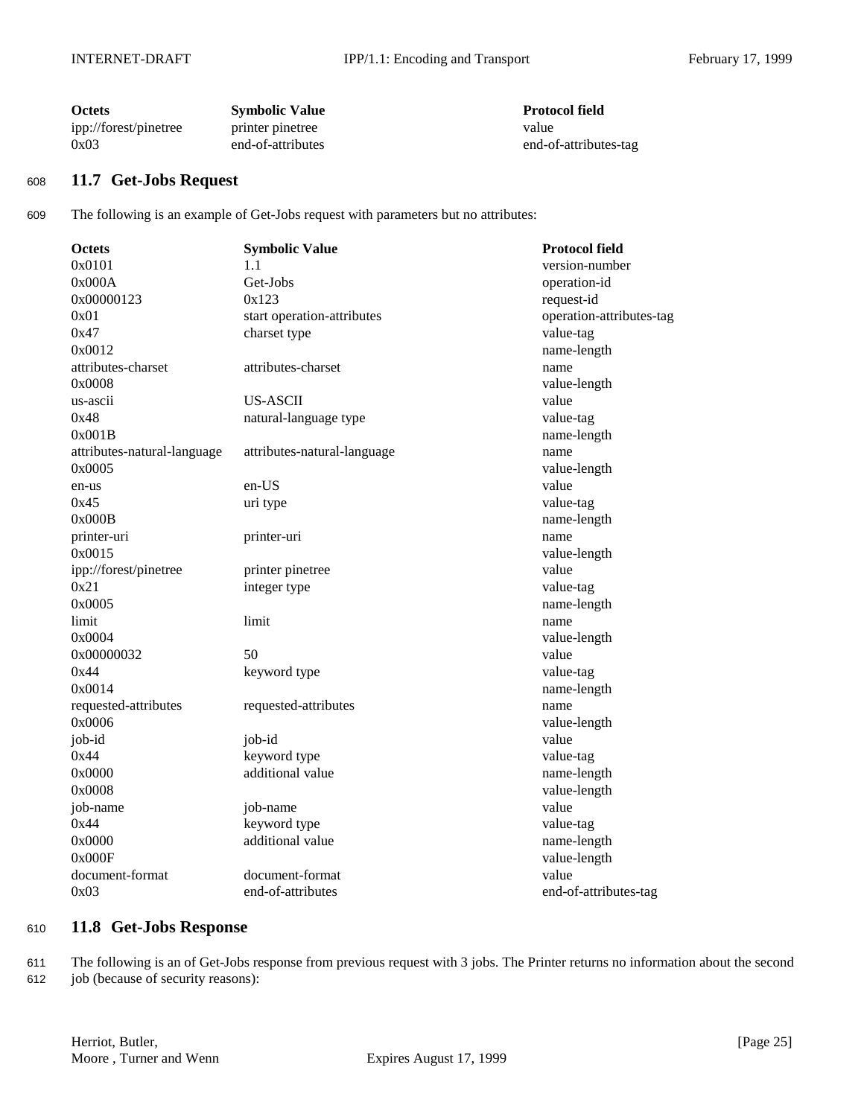| <b>Octets</b>         | <b>Symbolic Value</b> | <b>Protocol field</b> |
|-----------------------|-----------------------|-----------------------|
| ipp://forest/pinetree | printer pinetree      | value                 |
| 0x03                  | end-of-attributes     | end-of-attributes-tag |

## <sup>608</sup> **11.7 Get-Jobs Request**

609 The following is an example of Get-Jobs request with parameters but no attributes:

| <b>Octets</b>               | <b>Symbolic Value</b>       | <b>Protocol field</b>    |
|-----------------------------|-----------------------------|--------------------------|
| 0x0101                      | 1.1                         | version-number           |
| 0x000A                      | Get-Jobs                    | operation-id             |
| 0x00000123                  | 0x123                       | request-id               |
| 0x01                        | start operation-attributes  | operation-attributes-tag |
| 0x47                        | charset type                | value-tag                |
| 0x0012                      |                             | name-length              |
| attributes-charset          | attributes-charset          | name                     |
| 0x0008                      |                             | value-length             |
| us-ascii                    | <b>US-ASCII</b>             | value                    |
| 0x48                        | natural-language type       | value-tag                |
| 0x001B                      |                             | name-length              |
| attributes-natural-language | attributes-natural-language | name                     |
| 0x0005                      |                             | value-length             |
| en-us                       | en-US                       | value                    |
| 0x45                        | uri type                    | value-tag                |
| 0x000B                      |                             | name-length              |
| printer-uri                 | printer-uri                 | name                     |
| 0x0015                      |                             | value-length             |
| ipp://forest/pinetree       | printer pinetree            | value                    |
| 0x21                        | integer type                | value-tag                |
| 0x0005                      |                             | name-length              |
| limit                       | limit                       | name                     |
| 0x0004                      |                             | value-length             |
| 0x00000032                  | 50                          | value                    |
| 0x44                        | keyword type                | value-tag                |
| 0x0014                      |                             | name-length              |
| requested-attributes        | requested-attributes        | name                     |
| 0x0006                      |                             | value-length             |
| job-id                      | job-id                      | value                    |
| 0x44                        | keyword type                | value-tag                |
| 0x0000                      | additional value            | name-length              |
| 0x0008                      |                             | value-length             |
| job-name                    | job-name                    | value                    |
| 0x44                        | keyword type                | value-tag                |
| 0x0000                      | additional value            | name-length              |
| 0x000F                      |                             | value-length             |
| document-format             | document-format             | value                    |
| 0x03                        | end-of-attributes           | end-of-attributes-tag    |

## <sup>610</sup> **11.8 Get-Jobs Response**

611 The following is an of Get-Jobs response from previous request with 3 jobs. The Printer returns no information about the second

612 job (because of security reasons):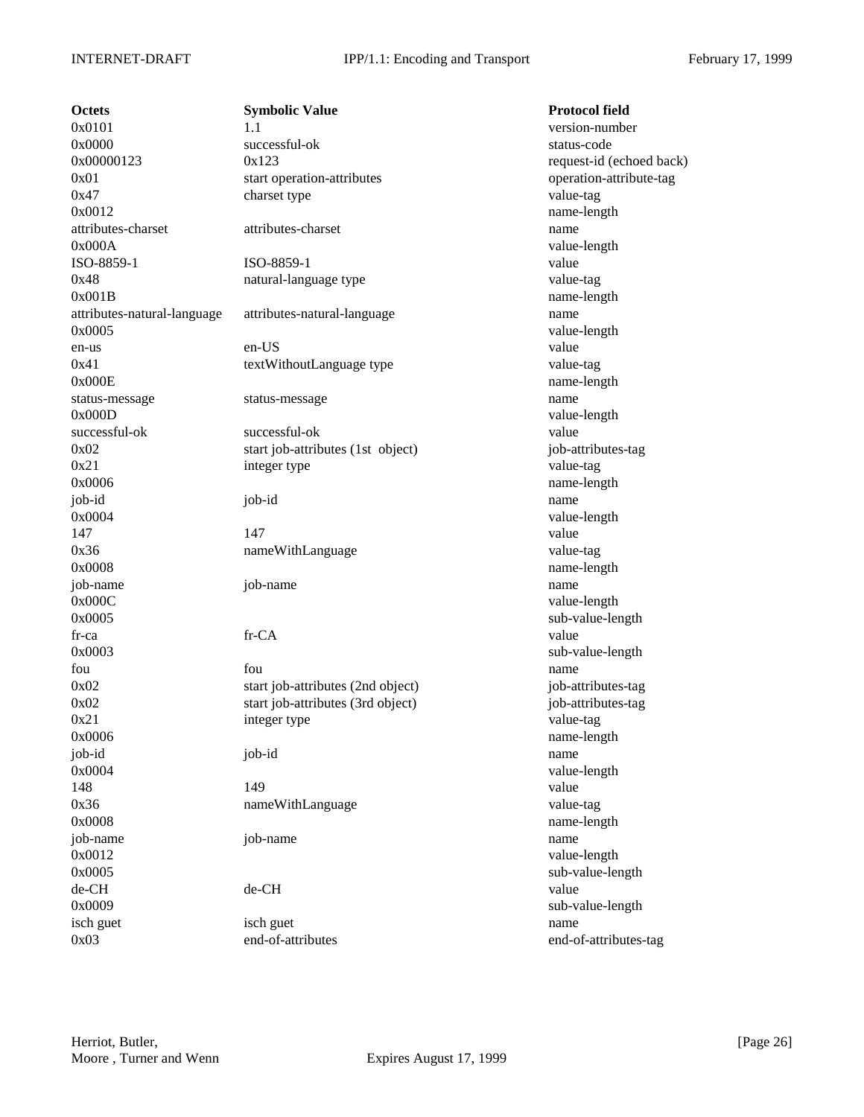**Octets Symbolic Value Protocol field**  $0x0101$  1.1 version-number 0x0000 successful-ok status-code  $0x00000123$   $0x123$  request-id (echoed back) 0x01 start operation-attributes operation-attribute-tag 0x47 charset type charset type value-tag 0x0012 name-length attributes-charset attributes-charset name 0x000A value-length ISO-8859-1 ISO-8859-1 value 0x48 natural-language type value-tag 0x001B name-length attributes-natural-language attributes-natural-language name 0x0005 value-length en-us en-US value 0x41 textWithoutLanguage type value-tag 0x000E name-length status-message status-message name 0x000D value-length successful-ok successful-ok value 0x02 start job-attributes (1st object) job-attributes-tag 0x21 integer type value-tag 0x0006 name-length job-id job-id name 0x0004 value-length 147 value 0x36 nameWithLanguage value-tag 0x0008 name-length job-name job-name name 0x000C value-length 0x0005 sub-value-length fr-ca fr-CA value 0x0003 sub-value-length fou **fou** fou **fou have the set of the set of the set of the set of the set of the set of the set of the set of the set of the set of the set of the set of the set of the set of the set of the set of the set of the set o** 0x02 start job-attributes (2nd object) job-attributes-tag 0x02 start job-attributes (3rd object) job-attributes-tag 0x21 integer type value-tag 0x0006 name-length job-id job-id name 0x0004 value-length 148 and 149 value of the state of the state of the state of the state of the state of the state of the state of the state of the state of the state of the state of the state of the state of the state of the state of the st 0x36 nameWithLanguage value-tag 0x0008 name-length job-name job-name name 0x0012 value-length 0x0005 sub-value-length de-CH de-CH value 0x0009 sub-value-length isch guet isch guet name

0x03 end-of-attributes end-of-attributes-tag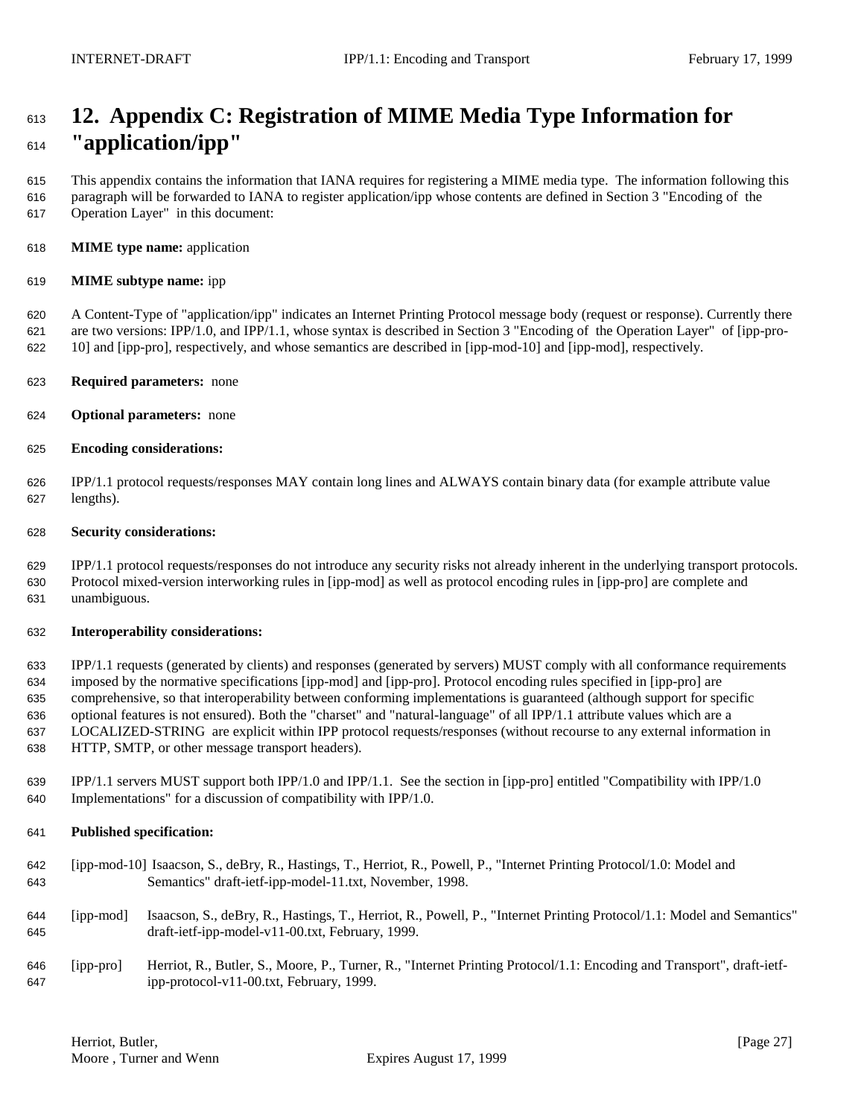# **12. Appendix C: Registration of MIME Media Type Information for "application/ipp"**

 This appendix contains the information that IANA requires for registering a MIME media type. The information following this paragraph will be forwarded to IANA to register application/ipp whose contents are defined in Section 3 "Encoding of the Operation Layer" in this document:

**MIME type name:** application

#### **MIME subtype name:** ipp

 A Content-Type of "application/ipp" indicates an Internet Printing Protocol message body (request or response). Currently there are two versions: IPP/1.0, and IPP/1.1, whose syntax is described in Section 3 "Encoding of the Operation Layer" of [ipp-pro-10] and [ipp-pro], respectively, and whose semantics are described in [ipp-mod-10] and [ipp-mod], respectively.

- **Required parameters:** none
- **Optional parameters:** none
- **Encoding considerations:**

 IPP/1.1 protocol requests/responses MAY contain long lines and ALWAYS contain binary data (for example attribute value lengths).

#### **Security considerations:**

 IPP/1.1 protocol requests/responses do not introduce any security risks not already inherent in the underlying transport protocols. Protocol mixed-version interworking rules in [ipp-mod] as well as protocol encoding rules in [ipp-pro] are complete and unambiguous.

#### **Interoperability considerations:**

 IPP/1.1 requests (generated by clients) and responses (generated by servers) MUST comply with all conformance requirements imposed by the normative specifications [ipp-mod] and [ipp-pro]. Protocol encoding rules specified in [ipp-pro] are comprehensive, so that interoperability between conforming implementations is guaranteed (although support for specific optional features is not ensured). Both the "charset" and "natural-language" of all IPP/1.1 attribute values which are a LOCALIZED-STRING are explicit within IPP protocol requests/responses (without recourse to any external information in HTTP, SMTP, or other message transport headers).

 IPP/1.1 servers MUST support both IPP/1.0 and IPP/1.1. See the section in [ipp-pro] entitled "Compatibility with IPP/1.0 Implementations" for a discussion of compatibility with IPP/1.0.

### **Published specification:**

- [ipp-mod-10] Isaacson, S., deBry, R., Hastings, T., Herriot, R., Powell, P., "Internet Printing Protocol/1.0: Model and Semantics" draft-ietf-ipp-model-11.txt, November, 1998.
- [ipp-mod] Isaacson, S., deBry, R., Hastings, T., Herriot, R., Powell, P., "Internet Printing Protocol/1.1: Model and Semantics" draft-ietf-ipp-model-v11-00.txt, February, 1999.
- [ipp-pro] Herriot, R., Butler, S., Moore, P., Turner, R., "Internet Printing Protocol/1.1: Encoding and Transport", draft-ietf-ipp-protocol-v11-00.txt, February, 1999.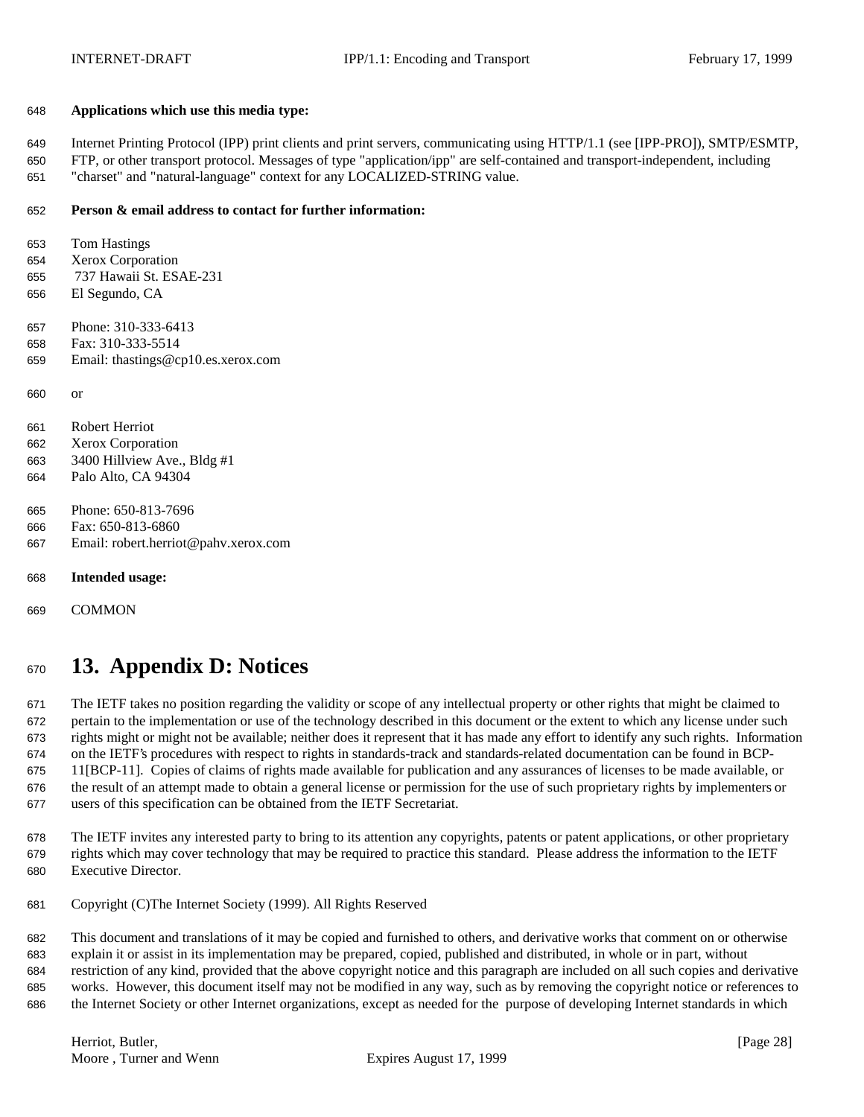#### **Applications which use this media type:**

 Internet Printing Protocol (IPP) print clients and print servers, communicating using HTTP/1.1 (see [IPP-PRO]), SMTP/ESMTP, FTP, or other transport protocol. Messages of type "application/ipp" are self-contained and transport-independent, including

"charset" and "natural-language" context for any LOCALIZED-STRING value.

### **Person & email address to contact for further information:**

 Tom Hastings Xerox Corporation 737 Hawaii St. ESAE-231 El Segundo, CA Phone: 310-333-6413 Fax: 310-333-5514 Email: thastings@cp10.es.xerox.com or Robert Herriot Xerox Corporation 3400 Hillview Ave., Bldg #1 Palo Alto, CA 94304 Phone: 650-813-7696 Fax: 650-813-6860 Email: robert.herriot@pahv.xerox.com **Intended usage:**

COMMON

# **13. Appendix D: Notices**

 The IETF takes no position regarding the validity or scope of any intellectual property or other rights that might be claimed to pertain to the implementation or use of the technology described in this document or the extent to which any license under such rights might or might not be available; neither does it represent that it has made any effort to identify any such rights. Information on the IETF's procedures with respect to rights in standards-track and standards-related documentation can be found in BCP- 11[BCP-11]. Copies of claims of rights made available for publication and any assurances of licenses to be made available, or the result of an attempt made to obtain a general license or permission for the use of such proprietary rights by implementers or users of this specification can be obtained from the IETF Secretariat.

 The IETF invites any interested party to bring to its attention any copyrights, patents or patent applications, or other proprietary rights which may cover technology that may be required to practice this standard. Please address the information to the IETF Executive Director.

Copyright (C)The Internet Society (1999). All Rights Reserved

 This document and translations of it may be copied and furnished to others, and derivative works that comment on or otherwise explain it or assist in its implementation may be prepared, copied, published and distributed, in whole or in part, without restriction of any kind, provided that the above copyright notice and this paragraph are included on all such copies and derivative works. However, this document itself may not be modified in any way, such as by removing the copyright notice or references to the Internet Society or other Internet organizations, except as needed for the purpose of developing Internet standards in which